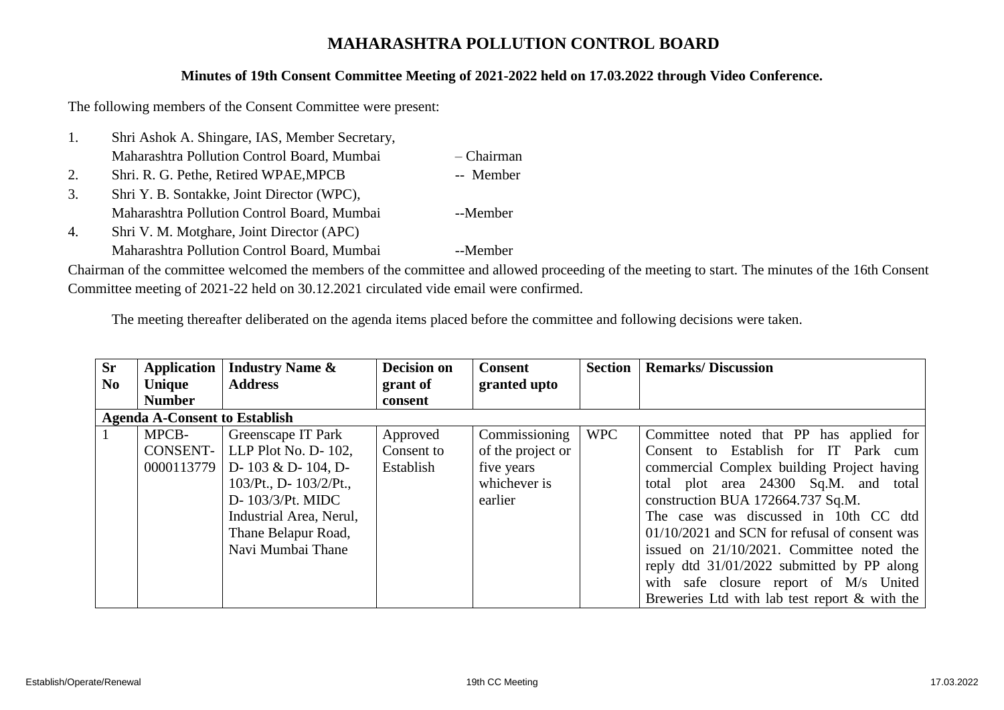## **MAHARASHTRA POLLUTION CONTROL BOARD**

## **Minutes of 19th Consent Committee Meeting of 2021-2022 held on 17.03.2022 through Video Conference.**

The following members of the Consent Committee were present:

- 1. Shri Ashok A. Shingare, IAS, Member Secretary, Maharashtra Pollution Control Board, Mumbai – Chairman
- 2. Shri. R. G. Pethe, Retired WPAE, MPCB -- Member
- 3. Shri Y. B. Sontakke, Joint Director (WPC), Maharashtra Pollution Control Board, Mumbai --Member
- 4. Shri V. M. Motghare, Joint Director (APC)
	- Maharashtra Pollution Control Board, Mumbai --Member

Chairman of the committee welcomed the members of the committee and allowed proceeding of the meeting to start. The minutes of the 16th Consent Committee meeting of 2021-22 held on 30.12.2021 circulated vide email were confirmed.

The meeting thereafter deliberated on the agenda items placed before the committee and following decisions were taken.

| <b>Sr</b>      | <b>Application</b>                   | <b>Industry Name &amp;</b> | <b>Decision on</b> | <b>Consent</b>    | <b>Section</b> | <b>Remarks/Discussion</b>                       |
|----------------|--------------------------------------|----------------------------|--------------------|-------------------|----------------|-------------------------------------------------|
| N <sub>0</sub> | Unique                               | <b>Address</b>             | grant of           | granted upto      |                |                                                 |
|                | <b>Number</b>                        |                            | consent            |                   |                |                                                 |
|                | <b>Agenda A-Consent to Establish</b> |                            |                    |                   |                |                                                 |
|                | MPCB-                                | Greenscape IT Park         | Approved           | Commissioning     | <b>WPC</b>     | Committee noted that PP has applied for         |
|                | <b>CONSENT-</b>                      | LLP Plot No. $D-102$ ,     | Consent to         | of the project or |                | Consent to Establish for IT Park cum            |
|                | 0000113779                           | D- 103 & D- 104, D-        | Establish          | five years        |                | commercial Complex building Project having      |
|                |                                      | $103/Pt., D-103/2/Pt.,$    |                    | whichever is      |                | total plot area 24300 Sq.M. and total           |
|                |                                      | D- 103/3/Pt. MIDC          |                    | earlier           |                | construction BUA 172664.737 Sq.M.               |
|                |                                      | Industrial Area, Nerul,    |                    |                   |                | The case was discussed in 10th CC dtd           |
|                |                                      | Thane Belapur Road,        |                    |                   |                | $01/10/2021$ and SCN for refusal of consent was |
|                |                                      | Navi Mumbai Thane          |                    |                   |                | issued on 21/10/2021. Committee noted the       |
|                |                                      |                            |                    |                   |                | reply dtd 31/01/2022 submitted by PP along      |
|                |                                      |                            |                    |                   |                | with safe closure report of M/s United          |
|                |                                      |                            |                    |                   |                | Breweries Ltd with lab test report & with the   |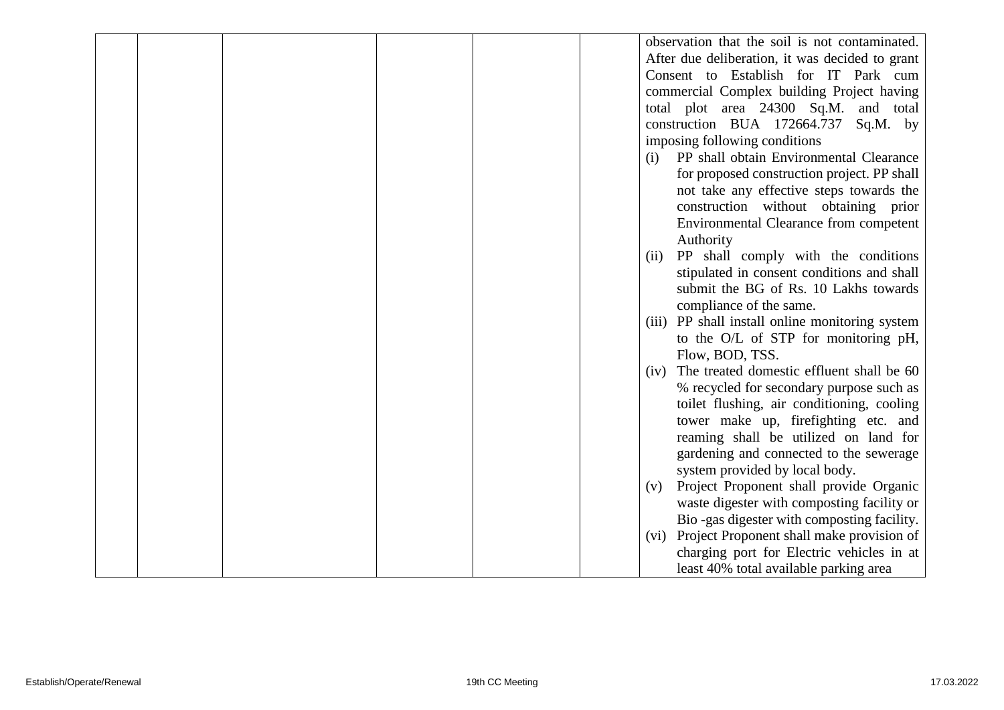|  |  |  | observation that the soil is not contaminated.     |
|--|--|--|----------------------------------------------------|
|  |  |  | After due deliberation, it was decided to grant    |
|  |  |  | Consent to Establish for IT Park cum               |
|  |  |  | commercial Complex building Project having         |
|  |  |  | total plot area 24300 Sq.M. and total              |
|  |  |  | construction BUA 172664.737<br>$Sq.M.$ by          |
|  |  |  | imposing following conditions                      |
|  |  |  | PP shall obtain Environmental Clearance<br>(i)     |
|  |  |  | for proposed construction project. PP shall        |
|  |  |  | not take any effective steps towards the           |
|  |  |  | construction without obtaining prior               |
|  |  |  | Environmental Clearance from competent             |
|  |  |  | Authority                                          |
|  |  |  | PP shall comply with the conditions<br>(ii)        |
|  |  |  | stipulated in consent conditions and shall         |
|  |  |  | submit the BG of Rs. 10 Lakhs towards              |
|  |  |  | compliance of the same.                            |
|  |  |  | PP shall install online monitoring system<br>(iii) |
|  |  |  | to the O/L of STP for monitoring pH,               |
|  |  |  | Flow, BOD, TSS.                                    |
|  |  |  | The treated domestic effluent shall be 60<br>(iv)  |
|  |  |  | % recycled for secondary purpose such as           |
|  |  |  | toilet flushing, air conditioning, cooling         |
|  |  |  | tower make up, firefighting etc. and               |
|  |  |  | reaming shall be utilized on land for              |
|  |  |  | gardening and connected to the sewerage            |
|  |  |  | system provided by local body.                     |
|  |  |  | Project Proponent shall provide Organic<br>(v)     |
|  |  |  | waste digester with composting facility or         |
|  |  |  | Bio-gas digester with composting facility.         |
|  |  |  | Project Proponent shall make provision of<br>(vi)  |
|  |  |  | charging port for Electric vehicles in at          |
|  |  |  | least 40% total available parking area             |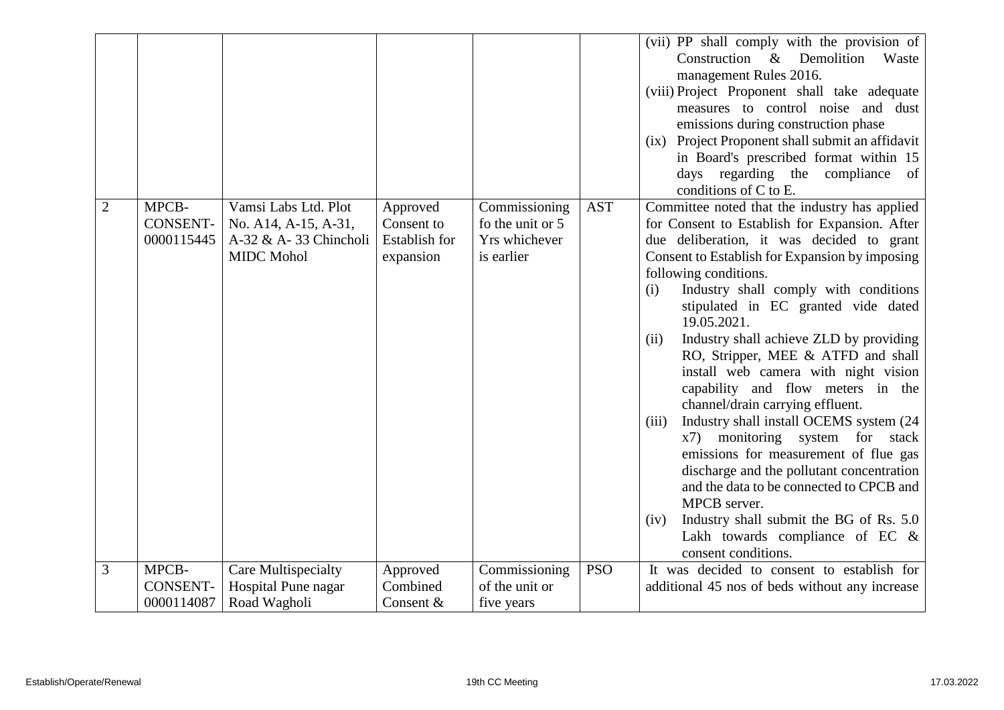|                |                                        |                                                                                            |                                                      |                                                                  |            | (vii) PP shall comply with the provision of<br>Construction &<br>Demolition<br>Waste<br>management Rules 2016.<br>(viii) Project Proponent shall take adequate<br>measures to control noise and dust<br>emissions during construction phase<br>(ix) Project Proponent shall submit an affidavit<br>in Board's prescribed format within 15<br>days regarding the compliance<br>of<br>conditions of C to E.                                                                                                                                                                                                                                                                                                                                                                                                                                                                                       |
|----------------|----------------------------------------|--------------------------------------------------------------------------------------------|------------------------------------------------------|------------------------------------------------------------------|------------|-------------------------------------------------------------------------------------------------------------------------------------------------------------------------------------------------------------------------------------------------------------------------------------------------------------------------------------------------------------------------------------------------------------------------------------------------------------------------------------------------------------------------------------------------------------------------------------------------------------------------------------------------------------------------------------------------------------------------------------------------------------------------------------------------------------------------------------------------------------------------------------------------|
| $\overline{2}$ | MPCB-<br><b>CONSENT-</b><br>0000115445 | Vamsi Labs Ltd. Plot<br>No. A14, A-15, A-31,<br>A-32 & A-33 Chincholi<br><b>MIDC</b> Mohol | Approved<br>Consent to<br>Establish for<br>expansion | Commissioning<br>fo the unit or 5<br>Yrs whichever<br>is earlier | <b>AST</b> | Committee noted that the industry has applied<br>for Consent to Establish for Expansion. After<br>due deliberation, it was decided to grant<br>Consent to Establish for Expansion by imposing<br>following conditions.<br>Industry shall comply with conditions<br>(i)<br>stipulated in EC granted vide dated<br>19.05.2021.<br>Industry shall achieve ZLD by providing<br>(ii)<br>RO, Stripper, MEE & ATFD and shall<br>install web camera with night vision<br>capability and flow meters in the<br>channel/drain carrying effluent.<br>Industry shall install OCEMS system (24<br>(iii)<br>monitoring system for stack<br>x7)<br>emissions for measurement of flue gas<br>discharge and the pollutant concentration<br>and the data to be connected to CPCB and<br>MPCB server.<br>Industry shall submit the BG of Rs. 5.0<br>(iv)<br>Lakh towards compliance of EC &<br>consent conditions. |
| 3              | MPCB-                                  | <b>Care Multispecialty</b>                                                                 | Approved                                             | Commissioning                                                    | <b>PSO</b> | It was decided to consent to establish for                                                                                                                                                                                                                                                                                                                                                                                                                                                                                                                                                                                                                                                                                                                                                                                                                                                      |
|                | <b>CONSENT-</b>                        | Hospital Pune nagar                                                                        | Combined                                             | of the unit or                                                   |            | additional 45 nos of beds without any increase                                                                                                                                                                                                                                                                                                                                                                                                                                                                                                                                                                                                                                                                                                                                                                                                                                                  |
|                | 0000114087                             | Road Wagholi                                                                               | Consent &                                            | five years                                                       |            |                                                                                                                                                                                                                                                                                                                                                                                                                                                                                                                                                                                                                                                                                                                                                                                                                                                                                                 |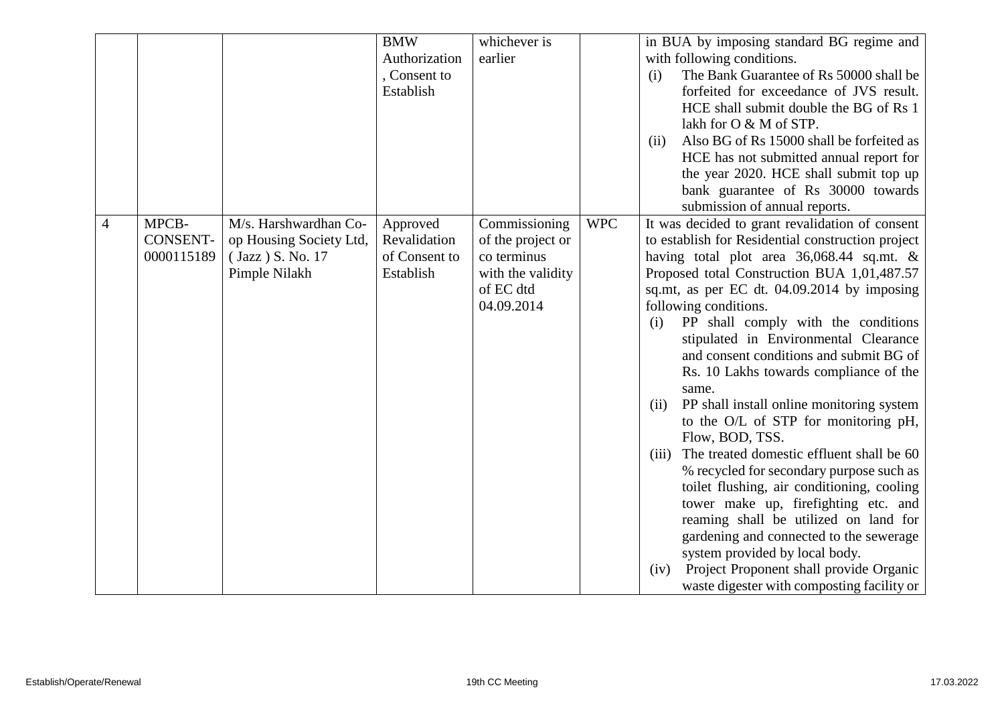|                |                 |                         | <b>BMW</b>    | whichever is      |            | in BUA by imposing standard BG regime and               |
|----------------|-----------------|-------------------------|---------------|-------------------|------------|---------------------------------------------------------|
|                |                 |                         | Authorization | earlier           |            | with following conditions.                              |
|                |                 |                         | , Consent to  |                   |            | The Bank Guarantee of Rs 50000 shall be<br>(i)          |
|                |                 |                         | Establish     |                   |            | forfeited for exceedance of JVS result.                 |
|                |                 |                         |               |                   |            | HCE shall submit double the BG of Rs 1                  |
|                |                 |                         |               |                   |            | lakh for O & M of STP.                                  |
|                |                 |                         |               |                   |            | Also BG of Rs 15000 shall be forfeited as<br>(ii)       |
|                |                 |                         |               |                   |            | HCE has not submitted annual report for                 |
|                |                 |                         |               |                   |            | the year 2020. HCE shall submit top up                  |
|                |                 |                         |               |                   |            | bank guarantee of Rs 30000 towards                      |
|                |                 |                         |               |                   |            | submission of annual reports.                           |
| $\overline{4}$ | MPCB-           | M/s. Harshwardhan Co-   | Approved      | Commissioning     | <b>WPC</b> | It was decided to grant revalidation of consent         |
|                | <b>CONSENT-</b> | op Housing Society Ltd, | Revalidation  | of the project or |            | to establish for Residential construction project       |
|                | 0000115189      | (Jazz ) S. No. 17       | of Consent to | co terminus       |            | having total plot area $36,068.44$ sq.mt. &             |
|                |                 | Pimple Nilakh           | Establish     | with the validity |            | Proposed total Construction BUA 1,01,487.57             |
|                |                 |                         |               | of EC dtd         |            | sq.mt, as per EC dt. 04.09.2014 by imposing             |
|                |                 |                         |               | 04.09.2014        |            | following conditions.                                   |
|                |                 |                         |               |                   |            | PP shall comply with the conditions<br>(i)              |
|                |                 |                         |               |                   |            | stipulated in Environmental Clearance                   |
|                |                 |                         |               |                   |            | and consent conditions and submit BG of                 |
|                |                 |                         |               |                   |            | Rs. 10 Lakhs towards compliance of the                  |
|                |                 |                         |               |                   |            | same.                                                   |
|                |                 |                         |               |                   |            | PP shall install online monitoring system<br>(ii)       |
|                |                 |                         |               |                   |            | to the O/L of STP for monitoring pH,<br>Flow, BOD, TSS. |
|                |                 |                         |               |                   |            | The treated domestic effluent shall be 60<br>(iii)      |
|                |                 |                         |               |                   |            | % recycled for secondary purpose such as                |
|                |                 |                         |               |                   |            | toilet flushing, air conditioning, cooling              |
|                |                 |                         |               |                   |            | tower make up, firefighting etc. and                    |
|                |                 |                         |               |                   |            | reaming shall be utilized on land for                   |
|                |                 |                         |               |                   |            | gardening and connected to the sewerage                 |
|                |                 |                         |               |                   |            | system provided by local body.                          |
|                |                 |                         |               |                   |            | Project Proponent shall provide Organic<br>(iv)         |
|                |                 |                         |               |                   |            | waste digester with composting facility or              |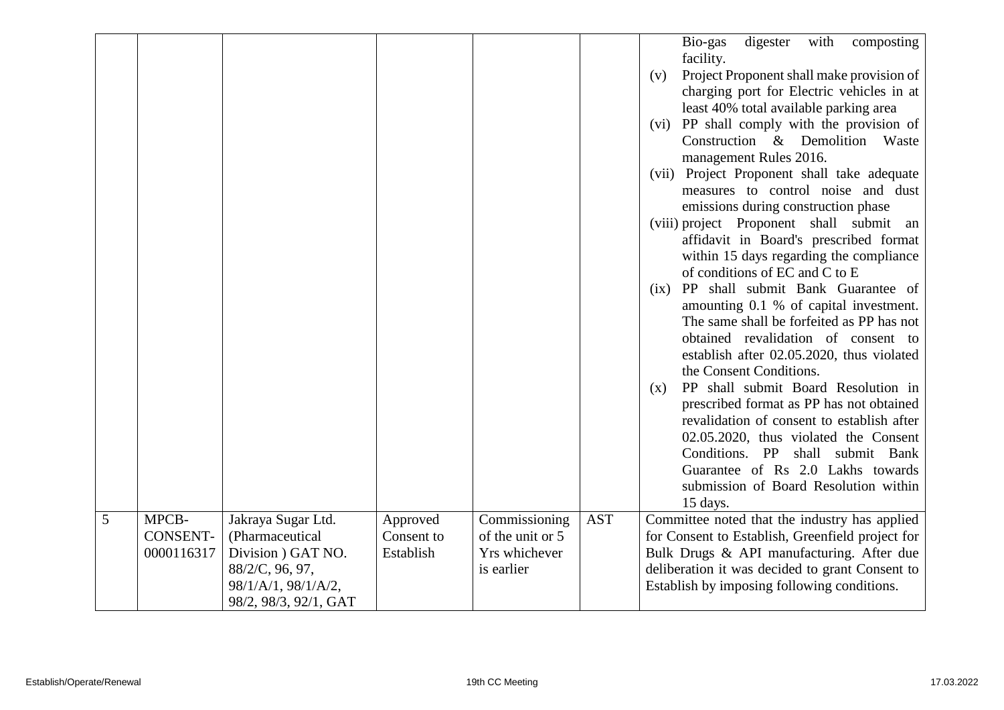|   |                                        |                                                                                                                                |                                     |                                                                  |            | digester<br>with<br>Bio-gas<br>composting<br>facility.<br>Project Proponent shall make provision of<br>(v)<br>charging port for Electric vehicles in at<br>least 40% total available parking area<br>(vi) PP shall comply with the provision of<br>Construction & Demolition<br>Waste<br>management Rules 2016.<br>(vii) Project Proponent shall take adequate<br>measures to control noise and dust<br>emissions during construction phase<br>(viii) project Proponent shall submit an<br>affidavit in Board's prescribed format<br>within 15 days regarding the compliance<br>of conditions of EC and C to E<br>PP shall submit Bank Guarantee of<br>(ix)<br>amounting 0.1 % of capital investment.<br>The same shall be forfeited as PP has not<br>obtained revalidation of consent to<br>establish after 02.05.2020, thus violated<br>the Consent Conditions.<br>PP shall submit Board Resolution in<br>(x)<br>prescribed format as PP has not obtained<br>revalidation of consent to establish after<br>02.05.2020, thus violated the Consent<br>Conditions. PP shall submit Bank<br>Guarantee of Rs 2.0 Lakhs towards<br>submission of Board Resolution within<br>15 days. |
|---|----------------------------------------|--------------------------------------------------------------------------------------------------------------------------------|-------------------------------------|------------------------------------------------------------------|------------|----------------------------------------------------------------------------------------------------------------------------------------------------------------------------------------------------------------------------------------------------------------------------------------------------------------------------------------------------------------------------------------------------------------------------------------------------------------------------------------------------------------------------------------------------------------------------------------------------------------------------------------------------------------------------------------------------------------------------------------------------------------------------------------------------------------------------------------------------------------------------------------------------------------------------------------------------------------------------------------------------------------------------------------------------------------------------------------------------------------------------------------------------------------------------------|
| 5 | MPCB-<br><b>CONSENT-</b><br>0000116317 | Jakraya Sugar Ltd.<br>(Pharmaceutical<br>Division ) GAT NO.<br>88/2/C, 96, 97,<br>98/1/A/1, 98/1/A/2,<br>98/2, 98/3, 92/1, GAT | Approved<br>Consent to<br>Establish | Commissioning<br>of the unit or 5<br>Yrs whichever<br>is earlier | <b>AST</b> | Committee noted that the industry has applied<br>for Consent to Establish, Greenfield project for<br>Bulk Drugs & API manufacturing. After due<br>deliberation it was decided to grant Consent to<br>Establish by imposing following conditions.                                                                                                                                                                                                                                                                                                                                                                                                                                                                                                                                                                                                                                                                                                                                                                                                                                                                                                                                 |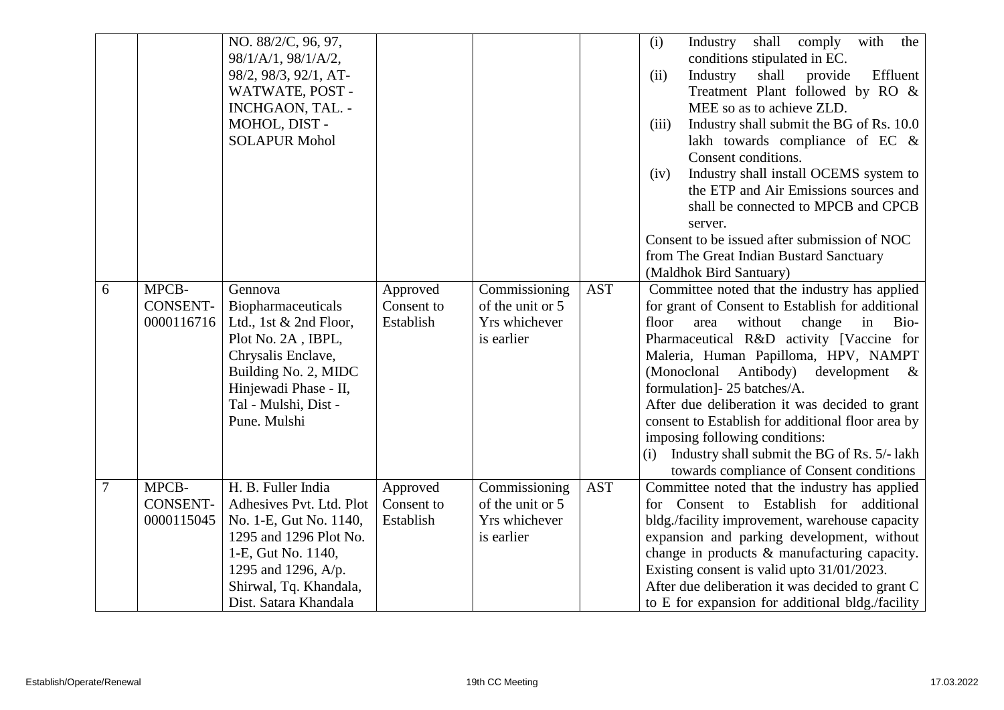|   |                                        | NO. 88/2/C, 96, 97,<br>98/1/A/1, 98/1/A/2,<br>98/2, 98/3, 92/1, AT-<br>WATWATE, POST -<br>INCHGAON, TAL. -<br>MOHOL, DIST -<br><b>SOLAPUR Mohol</b>                                                |                                     |                                                                  |            | shall comply<br>Industry<br>with<br>(i)<br>the<br>conditions stipulated in EC.<br>Industry<br>shall<br>provide<br>Effluent<br>(ii)<br>Treatment Plant followed by RO &<br>MEE so as to achieve ZLD.<br>Industry shall submit the BG of Rs. 10.0<br>(iii)<br>lakh towards compliance of EC &<br>Consent conditions.<br>Industry shall install OCEMS system to<br>(iv)<br>the ETP and Air Emissions sources and<br>shall be connected to MPCB and CPCB<br>server.<br>Consent to be issued after submission of NOC<br>from The Great Indian Bustard Sanctuary                                              |
|---|----------------------------------------|----------------------------------------------------------------------------------------------------------------------------------------------------------------------------------------------------|-------------------------------------|------------------------------------------------------------------|------------|---------------------------------------------------------------------------------------------------------------------------------------------------------------------------------------------------------------------------------------------------------------------------------------------------------------------------------------------------------------------------------------------------------------------------------------------------------------------------------------------------------------------------------------------------------------------------------------------------------|
| 6 | MPCB-<br><b>CONSENT-</b><br>0000116716 | Gennova<br>Biopharmaceuticals<br>Ltd., 1st $&$ 2nd Floor,<br>Plot No. 2A, IBPL,<br>Chrysalis Enclave,<br>Building No. 2, MIDC<br>Hinjewadi Phase - II,<br>Tal - Mulshi, Dist -<br>Pune. Mulshi     | Approved<br>Consent to<br>Establish | Commissioning<br>of the unit or 5<br>Yrs whichever<br>is earlier | <b>AST</b> | (Maldhok Bird Santuary)<br>Committee noted that the industry has applied<br>for grant of Consent to Establish for additional<br>floor<br>change<br>area<br>without<br>Bio-<br>in<br>Pharmaceutical R&D activity [Vaccine for<br>Maleria, Human Papilloma, HPV, NAMPT<br>(Monoclonal<br>Antibody)<br>development<br>$\alpha$<br>formulation] - 25 batches/A.<br>After due deliberation it was decided to grant<br>consent to Establish for additional floor area by<br>imposing following conditions:<br>Industry shall submit the BG of Rs. 5/- lakh<br>(i)<br>towards compliance of Consent conditions |
| 7 | MPCB-<br><b>CONSENT-</b><br>0000115045 | H. B. Fuller India<br>Adhesives Pvt. Ltd. Plot<br>No. 1-E, Gut No. 1140,<br>1295 and 1296 Plot No.<br>1-E, Gut No. 1140,<br>1295 and 1296, A/p.<br>Shirwal, Tq. Khandala,<br>Dist. Satara Khandala | Approved<br>Consent to<br>Establish | Commissioning<br>of the unit or 5<br>Yrs whichever<br>is earlier | <b>AST</b> | Committee noted that the industry has applied<br>for Consent to Establish for additional<br>bldg./facility improvement, warehouse capacity<br>expansion and parking development, without<br>change in products & manufacturing capacity.<br>Existing consent is valid upto 31/01/2023.<br>After due deliberation it was decided to grant C<br>to E for expansion for additional bldg./facility                                                                                                                                                                                                          |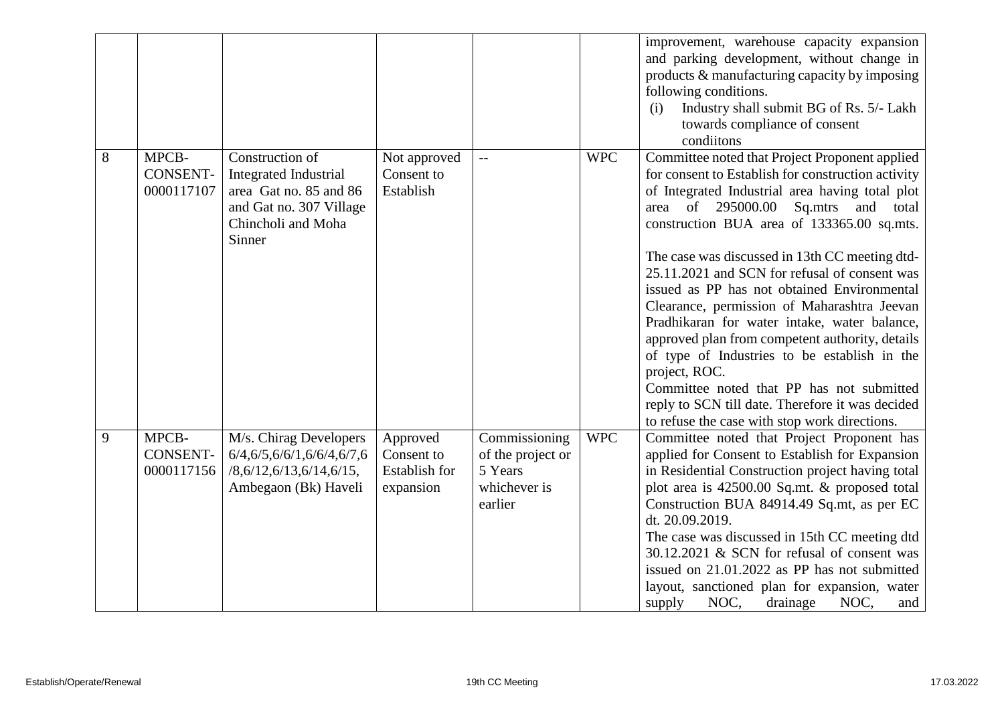|   |                                        |                                                                                                                                      |                                                             |                                                                          |            | improvement, warehouse capacity expansion<br>and parking development, without change in<br>products & manufacturing capacity by imposing<br>following conditions.<br>Industry shall submit BG of Rs. 5/- Lakh<br>(i)<br>towards compliance of consent<br>conditions                                                                                                                                                                                                                                                                                                                                                                                                                                                                                                          |
|---|----------------------------------------|--------------------------------------------------------------------------------------------------------------------------------------|-------------------------------------------------------------|--------------------------------------------------------------------------|------------|------------------------------------------------------------------------------------------------------------------------------------------------------------------------------------------------------------------------------------------------------------------------------------------------------------------------------------------------------------------------------------------------------------------------------------------------------------------------------------------------------------------------------------------------------------------------------------------------------------------------------------------------------------------------------------------------------------------------------------------------------------------------------|
| 8 | MPCB-<br><b>CONSENT-</b><br>0000117107 | Construction of<br><b>Integrated Industrial</b><br>area Gat no. 85 and 86<br>and Gat no. 307 Village<br>Chincholi and Moha<br>Sinner | Not approved<br>Consent to<br>Establish                     | $-$                                                                      | <b>WPC</b> | Committee noted that Project Proponent applied<br>for consent to Establish for construction activity<br>of Integrated Industrial area having total plot<br>of 295000.00<br>Sq.mtrs and<br>area<br>total<br>construction BUA area of 133365.00 sq.mts.<br>The case was discussed in 13th CC meeting dtd-<br>25.11.2021 and SCN for refusal of consent was<br>issued as PP has not obtained Environmental<br>Clearance, permission of Maharashtra Jeevan<br>Pradhikaran for water intake, water balance,<br>approved plan from competent authority, details<br>of type of Industries to be establish in the<br>project, ROC.<br>Committee noted that PP has not submitted<br>reply to SCN till date. Therefore it was decided<br>to refuse the case with stop work directions. |
| 9 | MPCB-<br><b>CONSENT-</b><br>0000117156 | M/s. Chirag Developers<br>6/4,6/5,6/6/1,6/6/4,6/7,6<br>/8,6/12,6/13,6/14,6/15,<br>Ambegaon (Bk) Haveli                               | Approved<br>Consent to<br><b>Establish for</b><br>expansion | Commissioning<br>of the project or<br>5 Years<br>whichever is<br>earlier | <b>WPC</b> | Committee noted that Project Proponent has<br>applied for Consent to Establish for Expansion<br>in Residential Construction project having total<br>plot area is 42500.00 Sq.mt. & proposed total<br>Construction BUA 84914.49 Sq.mt, as per EC<br>dt. 20.09.2019.<br>The case was discussed in 15th CC meeting dtd<br>30.12.2021 & SCN for refusal of consent was<br>issued on 21.01.2022 as PP has not submitted<br>layout, sanctioned plan for expansion, water<br>NOC,<br>drainage<br>NOC,<br>supply<br>and                                                                                                                                                                                                                                                              |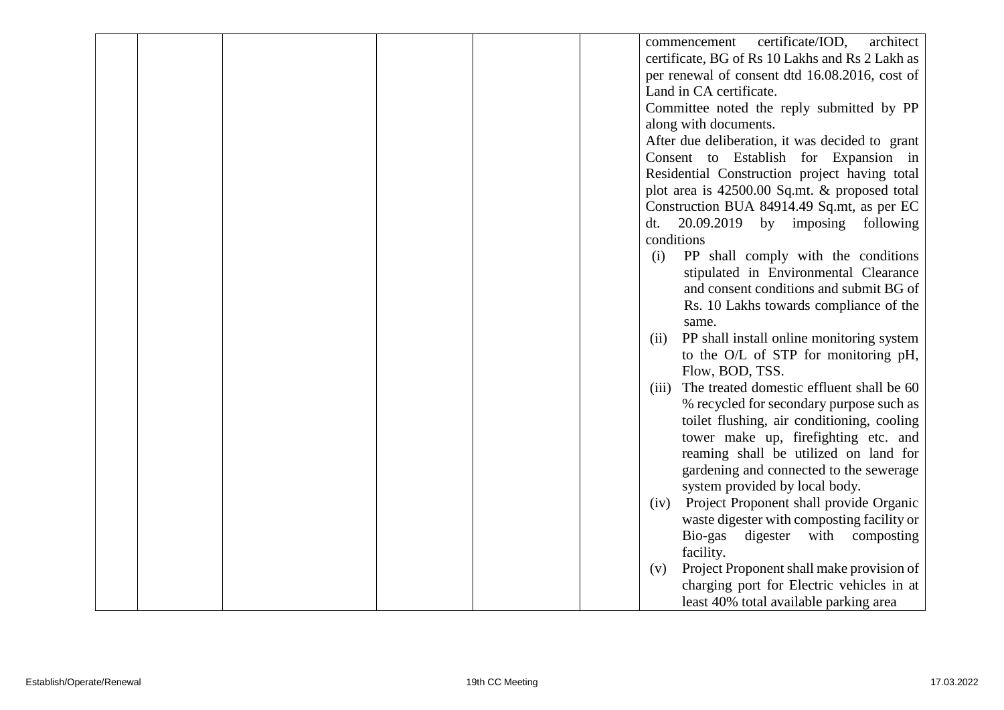|  |  |  | certificate/IOD,<br>architect<br>commencement     |
|--|--|--|---------------------------------------------------|
|  |  |  | certificate, BG of Rs 10 Lakhs and Rs 2 Lakh as   |
|  |  |  | per renewal of consent dtd 16.08.2016, cost of    |
|  |  |  | Land in CA certificate.                           |
|  |  |  | Committee noted the reply submitted by PP         |
|  |  |  | along with documents.                             |
|  |  |  | After due deliberation, it was decided to grant   |
|  |  |  | Consent to Establish for Expansion in             |
|  |  |  | Residential Construction project having total     |
|  |  |  | plot area is 42500.00 Sq.mt. & proposed total     |
|  |  |  | Construction BUA 84914.49 Sq.mt, as per EC        |
|  |  |  | $20.09.2019$ by imposing following<br>dt.         |
|  |  |  | conditions                                        |
|  |  |  | PP shall comply with the conditions<br>(i)        |
|  |  |  | stipulated in Environmental Clearance             |
|  |  |  | and consent conditions and submit BG of           |
|  |  |  | Rs. 10 Lakhs towards compliance of the            |
|  |  |  | same.                                             |
|  |  |  | PP shall install online monitoring system<br>(ii) |
|  |  |  | to the O/L of STP for monitoring pH,              |
|  |  |  | Flow, BOD, TSS.                                   |
|  |  |  | (iii) The treated domestic effluent shall be 60   |
|  |  |  | % recycled for secondary purpose such as          |
|  |  |  | toilet flushing, air conditioning, cooling        |
|  |  |  | tower make up, firefighting etc. and              |
|  |  |  | reaming shall be utilized on land for             |
|  |  |  | gardening and connected to the sewerage           |
|  |  |  | system provided by local body.                    |
|  |  |  | Project Proponent shall provide Organic<br>(iv)   |
|  |  |  | waste digester with composting facility or        |
|  |  |  | Bio-gas<br>digester<br>with<br>composting         |
|  |  |  | facility.                                         |
|  |  |  | Project Proponent shall make provision of<br>(v)  |
|  |  |  | charging port for Electric vehicles in at         |
|  |  |  | least 40% total available parking area            |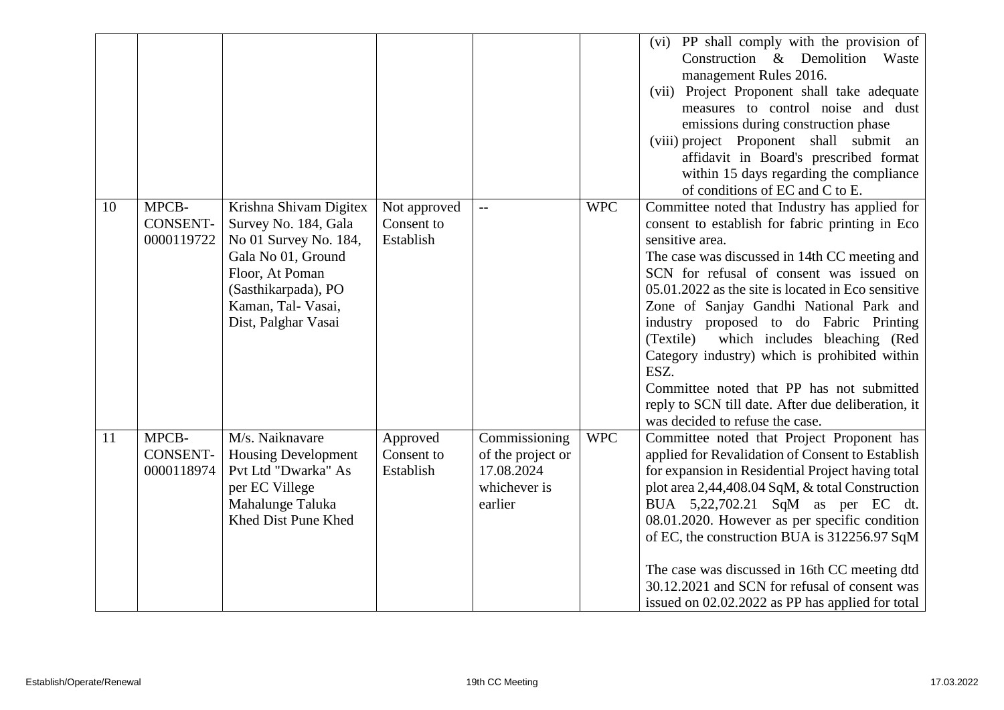|    |                                        |                                                                                                                                                                                      |                                         |                                                                             |            | (vi) PP shall comply with the provision of<br>Construction & Demolition Waste<br>management Rules 2016.<br>(vii) Project Proponent shall take adequate<br>measures to control noise and dust<br>emissions during construction phase<br>(viii) project Proponent shall submit<br>an<br>affidavit in Board's prescribed format<br>within 15 days regarding the compliance<br>of conditions of EC and C to E.                                                                                                                                                                                                |
|----|----------------------------------------|--------------------------------------------------------------------------------------------------------------------------------------------------------------------------------------|-----------------------------------------|-----------------------------------------------------------------------------|------------|-----------------------------------------------------------------------------------------------------------------------------------------------------------------------------------------------------------------------------------------------------------------------------------------------------------------------------------------------------------------------------------------------------------------------------------------------------------------------------------------------------------------------------------------------------------------------------------------------------------|
| 10 | MPCB-<br><b>CONSENT-</b><br>0000119722 | Krishna Shivam Digitex<br>Survey No. 184, Gala<br>No 01 Survey No. 184,<br>Gala No 01, Ground<br>Floor, At Poman<br>(Sasthikarpada), PO<br>Kaman, Tal- Vasai,<br>Dist, Palghar Vasai | Not approved<br>Consent to<br>Establish | $-$                                                                         | <b>WPC</b> | Committee noted that Industry has applied for<br>consent to establish for fabric printing in Eco<br>sensitive area.<br>The case was discussed in 14th CC meeting and<br>SCN for refusal of consent was issued on<br>05.01.2022 as the site is located in Eco sensitive<br>Zone of Sanjay Gandhi National Park and<br>industry proposed to do Fabric Printing<br>which includes bleaching (Red<br>(Textile)<br>Category industry) which is prohibited within<br>ESZ.<br>Committee noted that PP has not submitted<br>reply to SCN till date. After due deliberation, it<br>was decided to refuse the case. |
| 11 | MPCB-<br><b>CONSENT-</b><br>0000118974 | M/s. Naiknavare<br><b>Housing Development</b><br>Pvt Ltd "Dwarka" As<br>per EC Villege<br>Mahalunge Taluka<br>Khed Dist Pune Khed                                                    | Approved<br>Consent to<br>Establish     | Commissioning<br>of the project or<br>17.08.2024<br>whichever is<br>earlier | <b>WPC</b> | Committee noted that Project Proponent has<br>applied for Revalidation of Consent to Establish<br>for expansion in Residential Project having total<br>plot area 2,44,408.04 SqM, & total Construction<br>BUA 5,22,702.21 SqM as per EC dt.<br>08.01.2020. However as per specific condition<br>of EC, the construction BUA is 312256.97 SqM<br>The case was discussed in 16th CC meeting dtd<br>30.12.2021 and SCN for refusal of consent was<br>issued on 02.02.2022 as PP has applied for total                                                                                                        |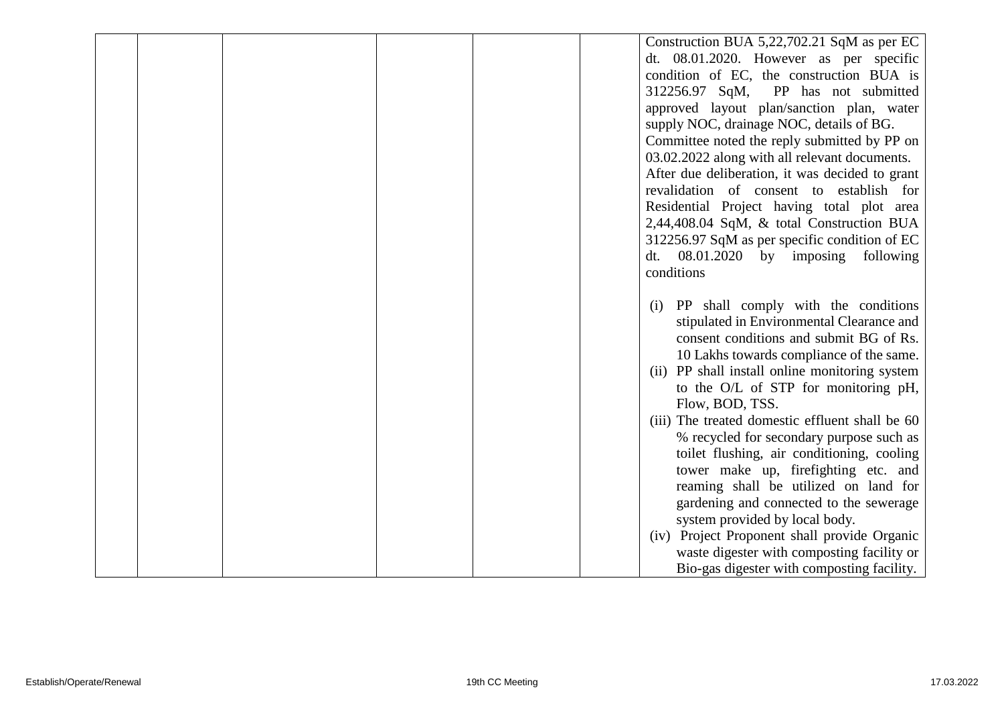|  |  |  | Construction BUA 5,22,702.21 SqM as per EC                                |
|--|--|--|---------------------------------------------------------------------------|
|  |  |  | dt. 08.01.2020. However as per specific                                   |
|  |  |  | condition of EC, the construction BUA is                                  |
|  |  |  | 312256.97 SqM,<br>PP has not submitted                                    |
|  |  |  | approved layout plan/sanction plan, water                                 |
|  |  |  | supply NOC, drainage NOC, details of BG.                                  |
|  |  |  | Committee noted the reply submitted by PP on                              |
|  |  |  | 03.02.2022 along with all relevant documents.                             |
|  |  |  | After due deliberation, it was decided to grant                           |
|  |  |  | revalidation of consent to establish for                                  |
|  |  |  | Residential Project having total plot area                                |
|  |  |  | 2,44,408.04 SqM, & total Construction BUA                                 |
|  |  |  | 312256.97 SqM as per specific condition of EC                             |
|  |  |  | $08.01.2020$ by imposing<br>following<br>dt.                              |
|  |  |  | conditions                                                                |
|  |  |  |                                                                           |
|  |  |  | PP shall comply with the conditions<br>(i)                                |
|  |  |  | stipulated in Environmental Clearance and                                 |
|  |  |  | consent conditions and submit BG of Rs.                                   |
|  |  |  | 10 Lakhs towards compliance of the same.                                  |
|  |  |  | (ii) PP shall install online monitoring system                            |
|  |  |  | to the O/L of STP for monitoring pH,                                      |
|  |  |  | Flow, BOD, TSS.                                                           |
|  |  |  | (iii) The treated domestic effluent shall be 60                           |
|  |  |  | % recycled for secondary purpose such as                                  |
|  |  |  | toilet flushing, air conditioning, cooling                                |
|  |  |  | tower make up, firefighting etc. and                                      |
|  |  |  | reaming shall be utilized on land for                                     |
|  |  |  | gardening and connected to the sewerage<br>system provided by local body. |
|  |  |  | (iv) Project Proponent shall provide Organic                              |
|  |  |  | waste digester with composting facility or                                |
|  |  |  | Bio-gas digester with composting facility.                                |
|  |  |  |                                                                           |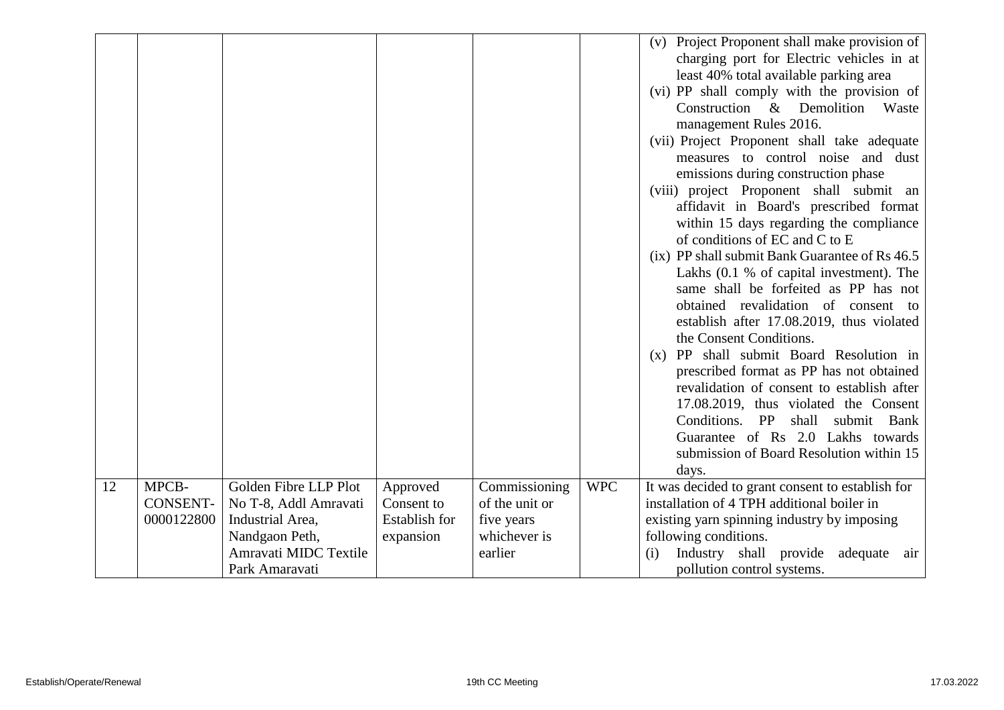|    |                 |                       |               |                |            | (v) Project Proponent shall make provision of<br>charging port for Electric vehicles in at<br>least 40% total available parking area<br>(vi) PP shall comply with the provision of<br>Construction &<br>Demolition<br>Waste<br>management Rules 2016.<br>(vii) Project Proponent shall take adequate<br>measures to control noise and dust<br>emissions during construction phase<br>(viii) project Proponent shall submit an<br>affidavit in Board's prescribed format<br>within 15 days regarding the compliance<br>of conditions of EC and C to E<br>(ix) PP shall submit Bank Guarantee of Rs 46.5<br>Lakhs (0.1 % of capital investment). The<br>same shall be forfeited as PP has not<br>obtained revalidation of consent to<br>establish after 17.08.2019, thus violated<br>the Consent Conditions.<br>(x) PP shall submit Board Resolution in<br>prescribed format as PP has not obtained<br>revalidation of consent to establish after<br>17.08.2019, thus violated the Consent<br>Conditions. PP<br>shall<br>submit Bank<br>Guarantee of Rs 2.0 Lakhs towards<br>submission of Board Resolution within 15<br>days. |
|----|-----------------|-----------------------|---------------|----------------|------------|------------------------------------------------------------------------------------------------------------------------------------------------------------------------------------------------------------------------------------------------------------------------------------------------------------------------------------------------------------------------------------------------------------------------------------------------------------------------------------------------------------------------------------------------------------------------------------------------------------------------------------------------------------------------------------------------------------------------------------------------------------------------------------------------------------------------------------------------------------------------------------------------------------------------------------------------------------------------------------------------------------------------------------------------------------------------------------------------------------------------------|
| 12 | MPCB-           | Golden Fibre LLP Plot | Approved      | Commissioning  | <b>WPC</b> | It was decided to grant consent to establish for                                                                                                                                                                                                                                                                                                                                                                                                                                                                                                                                                                                                                                                                                                                                                                                                                                                                                                                                                                                                                                                                             |
|    | <b>CONSENT-</b> | No T-8, Addl Amravati | Consent to    | of the unit or |            | installation of 4 TPH additional boiler in                                                                                                                                                                                                                                                                                                                                                                                                                                                                                                                                                                                                                                                                                                                                                                                                                                                                                                                                                                                                                                                                                   |
|    | 0000122800      | Industrial Area,      | Establish for | five years     |            | existing yarn spinning industry by imposing                                                                                                                                                                                                                                                                                                                                                                                                                                                                                                                                                                                                                                                                                                                                                                                                                                                                                                                                                                                                                                                                                  |
|    |                 | Nandgaon Peth,        | expansion     | whichever is   |            | following conditions.                                                                                                                                                                                                                                                                                                                                                                                                                                                                                                                                                                                                                                                                                                                                                                                                                                                                                                                                                                                                                                                                                                        |
|    |                 | Amravati MIDC Textile |               | earlier        |            | Industry shall provide<br>adequate<br>(i)<br>air                                                                                                                                                                                                                                                                                                                                                                                                                                                                                                                                                                                                                                                                                                                                                                                                                                                                                                                                                                                                                                                                             |
|    |                 | Park Amaravati        |               |                |            | pollution control systems.                                                                                                                                                                                                                                                                                                                                                                                                                                                                                                                                                                                                                                                                                                                                                                                                                                                                                                                                                                                                                                                                                                   |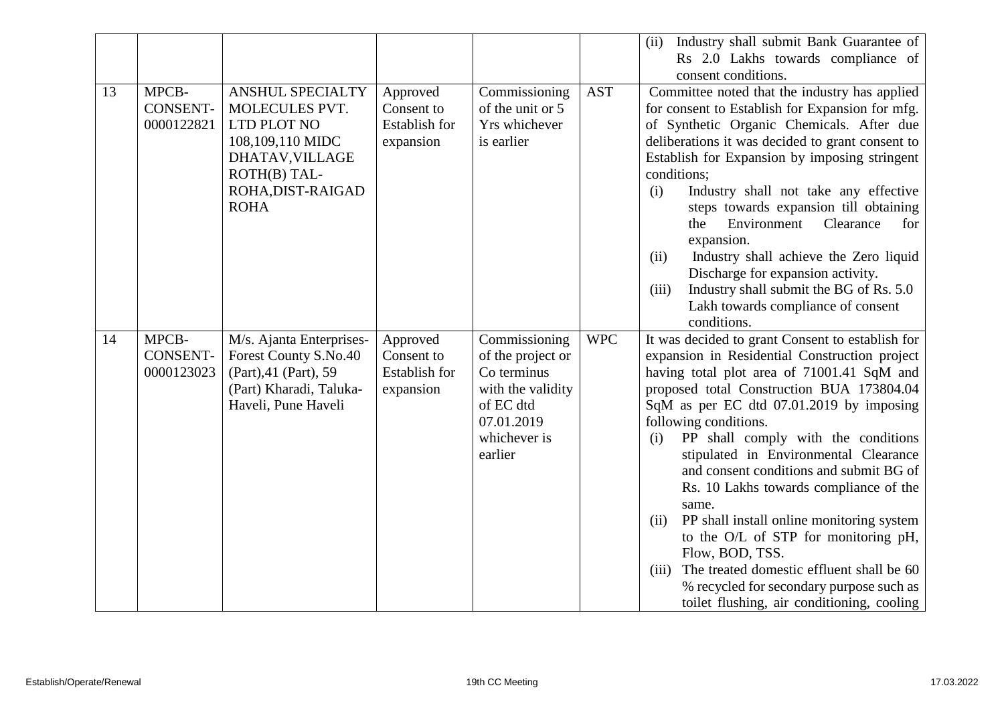|    |                                        |                                                                                                                                              |                                                             |                                                                                                                              |            | Industry shall submit Bank Guarantee of<br>(ii)<br>Rs 2.0 Lakhs towards compliance of                                                                                                                                                                                                                                                                                                                                                                                                                                                                                                                                                                                                                                  |
|----|----------------------------------------|----------------------------------------------------------------------------------------------------------------------------------------------|-------------------------------------------------------------|------------------------------------------------------------------------------------------------------------------------------|------------|------------------------------------------------------------------------------------------------------------------------------------------------------------------------------------------------------------------------------------------------------------------------------------------------------------------------------------------------------------------------------------------------------------------------------------------------------------------------------------------------------------------------------------------------------------------------------------------------------------------------------------------------------------------------------------------------------------------------|
|    |                                        |                                                                                                                                              |                                                             |                                                                                                                              |            | consent conditions.                                                                                                                                                                                                                                                                                                                                                                                                                                                                                                                                                                                                                                                                                                    |
| 13 | MPCB-<br><b>CONSENT-</b><br>0000122821 | ANSHUL SPECIALTY<br>MOLECULES PVT.<br>LTD PLOT NO<br>108,109,110 MIDC<br>DHATAV, VILLAGE<br>ROTH(B) TAL-<br>ROHA, DIST-RAIGAD<br><b>ROHA</b> | Approved<br>Consent to<br><b>Establish for</b><br>expansion | Commissioning<br>of the unit or 5<br>Yrs whichever<br>is earlier                                                             | <b>AST</b> | Committee noted that the industry has applied<br>for consent to Establish for Expansion for mfg.<br>of Synthetic Organic Chemicals. After due<br>deliberations it was decided to grant consent to<br>Establish for Expansion by imposing stringent<br>conditions;<br>Industry shall not take any effective<br>(i)<br>steps towards expansion till obtaining<br>Environment<br>Clearance<br>for<br>the<br>expansion.<br>Industry shall achieve the Zero liquid<br>(ii)<br>Discharge for expansion activity.<br>Industry shall submit the BG of Rs. 5.0<br>(iii)<br>Lakh towards compliance of consent<br>conditions.                                                                                                    |
| 14 | MPCB-<br><b>CONSENT-</b><br>0000123023 | M/s. Ajanta Enterprises-<br>Forest County S.No.40<br>(Part), 41 (Part), 59<br>(Part) Kharadi, Taluka-<br>Haveli, Pune Haveli                 | Approved<br>Consent to<br><b>Establish for</b><br>expansion | Commissioning<br>of the project or<br>Co terminus<br>with the validity<br>of EC dtd<br>07.01.2019<br>whichever is<br>earlier | <b>WPC</b> | It was decided to grant Consent to establish for<br>expansion in Residential Construction project<br>having total plot area of 71001.41 SqM and<br>proposed total Construction BUA 173804.04<br>SqM as per EC dtd 07.01.2019 by imposing<br>following conditions.<br>PP shall comply with the conditions<br>(i)<br>stipulated in Environmental Clearance<br>and consent conditions and submit BG of<br>Rs. 10 Lakhs towards compliance of the<br>same.<br>PP shall install online monitoring system<br>(ii)<br>to the O/L of STP for monitoring pH,<br>Flow, BOD, TSS.<br>The treated domestic effluent shall be 60<br>(iii)<br>% recycled for secondary purpose such as<br>toilet flushing, air conditioning, cooling |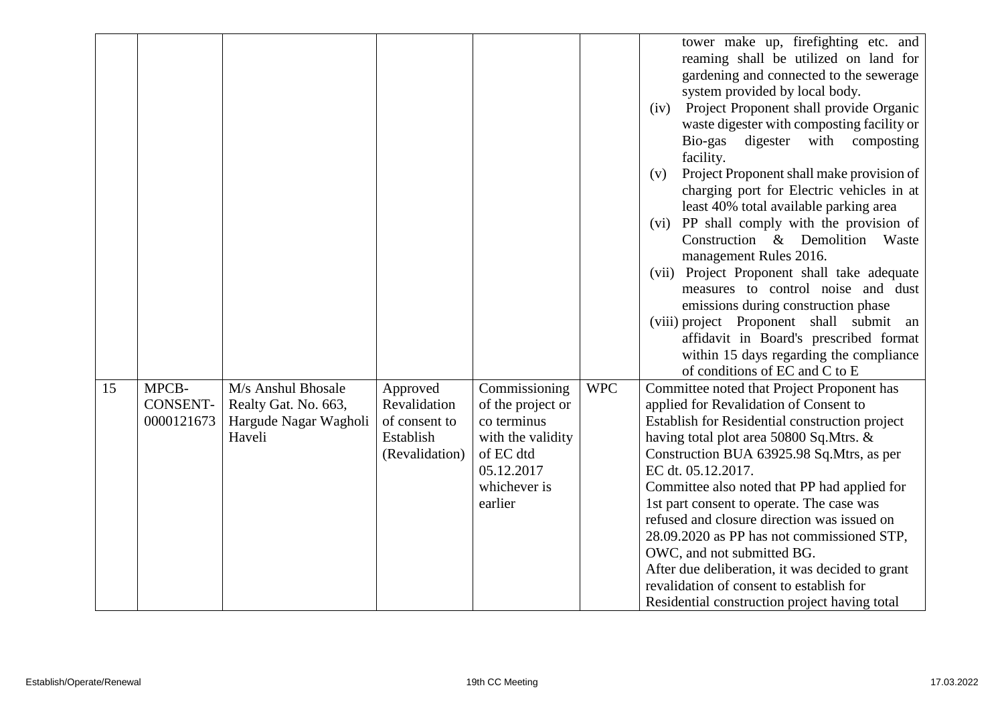|    |                 |                                 |                            |                                  |            | tower make up, firefighting etc. and<br>reaming shall be utilized on land for<br>gardening and connected to the sewerage<br>system provided by local body.<br>Project Proponent shall provide Organic<br>(iv)<br>waste digester with composting facility or<br>with<br>Bio-gas<br>digester<br>composting<br>facility.<br>Project Proponent shall make provision of<br>(v)<br>charging port for Electric vehicles in at<br>least 40% total available parking area<br>(vi) PP shall comply with the provision of<br>Construction & Demolition Waste<br>management Rules 2016.<br>(vii) Project Proponent shall take adequate<br>measures to control noise and dust<br>emissions during construction phase<br>(viii) project Proponent shall submit<br>an<br>affidavit in Board's prescribed format<br>within 15 days regarding the compliance<br>of conditions of EC and C to E |
|----|-----------------|---------------------------------|----------------------------|----------------------------------|------------|-------------------------------------------------------------------------------------------------------------------------------------------------------------------------------------------------------------------------------------------------------------------------------------------------------------------------------------------------------------------------------------------------------------------------------------------------------------------------------------------------------------------------------------------------------------------------------------------------------------------------------------------------------------------------------------------------------------------------------------------------------------------------------------------------------------------------------------------------------------------------------|
| 15 | MPCB-           | M/s Anshul Bhosale              | Approved                   | Commissioning                    | <b>WPC</b> | Committee noted that Project Proponent has                                                                                                                                                                                                                                                                                                                                                                                                                                                                                                                                                                                                                                                                                                                                                                                                                                    |
|    | <b>CONSENT-</b> | Realty Gat. No. 663,            | Revalidation               | of the project or                |            | applied for Revalidation of Consent to                                                                                                                                                                                                                                                                                                                                                                                                                                                                                                                                                                                                                                                                                                                                                                                                                                        |
|    | 0000121673      | Hargude Nagar Wagholi<br>Haveli | of consent to<br>Establish | co terminus<br>with the validity |            | Establish for Residential construction project<br>having total plot area 50800 Sq.Mtrs. &                                                                                                                                                                                                                                                                                                                                                                                                                                                                                                                                                                                                                                                                                                                                                                                     |
|    |                 |                                 | (Revalidation)             | of EC dtd                        |            | Construction BUA 63925.98 Sq.Mtrs, as per                                                                                                                                                                                                                                                                                                                                                                                                                                                                                                                                                                                                                                                                                                                                                                                                                                     |
|    |                 |                                 |                            | 05.12.2017                       |            | EC dt. 05.12.2017.                                                                                                                                                                                                                                                                                                                                                                                                                                                                                                                                                                                                                                                                                                                                                                                                                                                            |
|    |                 |                                 |                            | whichever is                     |            | Committee also noted that PP had applied for                                                                                                                                                                                                                                                                                                                                                                                                                                                                                                                                                                                                                                                                                                                                                                                                                                  |
|    |                 |                                 |                            | earlier                          |            | 1st part consent to operate. The case was                                                                                                                                                                                                                                                                                                                                                                                                                                                                                                                                                                                                                                                                                                                                                                                                                                     |
|    |                 |                                 |                            |                                  |            | refused and closure direction was issued on                                                                                                                                                                                                                                                                                                                                                                                                                                                                                                                                                                                                                                                                                                                                                                                                                                   |
|    |                 |                                 |                            |                                  |            | 28.09.2020 as PP has not commissioned STP,                                                                                                                                                                                                                                                                                                                                                                                                                                                                                                                                                                                                                                                                                                                                                                                                                                    |
|    |                 |                                 |                            |                                  |            | OWC, and not submitted BG.                                                                                                                                                                                                                                                                                                                                                                                                                                                                                                                                                                                                                                                                                                                                                                                                                                                    |
|    |                 |                                 |                            |                                  |            | After due deliberation, it was decided to grant                                                                                                                                                                                                                                                                                                                                                                                                                                                                                                                                                                                                                                                                                                                                                                                                                               |
|    |                 |                                 |                            |                                  |            | revalidation of consent to establish for                                                                                                                                                                                                                                                                                                                                                                                                                                                                                                                                                                                                                                                                                                                                                                                                                                      |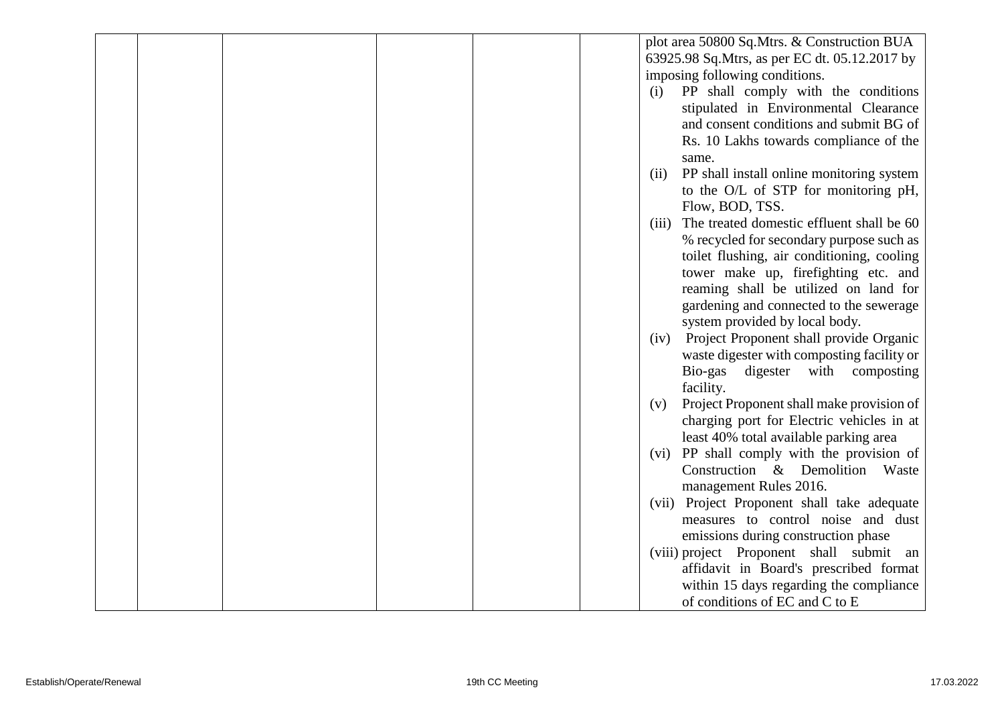|  |  |  | plot area 50800 Sq.Mtrs. & Construction BUA        |
|--|--|--|----------------------------------------------------|
|  |  |  | 63925.98 Sq. Mtrs, as per EC dt. 05.12.2017 by     |
|  |  |  | imposing following conditions.                     |
|  |  |  | PP shall comply with the conditions<br>(i)         |
|  |  |  | stipulated in Environmental Clearance              |
|  |  |  | and consent conditions and submit BG of            |
|  |  |  | Rs. 10 Lakhs towards compliance of the             |
|  |  |  |                                                    |
|  |  |  | same.                                              |
|  |  |  | PP shall install online monitoring system<br>(ii)  |
|  |  |  | to the O/L of STP for monitoring pH,               |
|  |  |  | Flow, BOD, TSS.                                    |
|  |  |  | The treated domestic effluent shall be 60<br>(iii) |
|  |  |  | % recycled for secondary purpose such as           |
|  |  |  | toilet flushing, air conditioning, cooling         |
|  |  |  | tower make up, firefighting etc. and               |
|  |  |  | reaming shall be utilized on land for              |
|  |  |  | gardening and connected to the sewerage            |
|  |  |  | system provided by local body.                     |
|  |  |  | Project Proponent shall provide Organic<br>(iv)    |
|  |  |  | waste digester with composting facility or         |
|  |  |  | Bio-gas<br>digester<br>with<br>composting          |
|  |  |  | facility.                                          |
|  |  |  | Project Proponent shall make provision of<br>(v)   |
|  |  |  | charging port for Electric vehicles in at          |
|  |  |  | least 40% total available parking area             |
|  |  |  | (vi) PP shall comply with the provision of         |
|  |  |  | Construction & Demolition Waste                    |
|  |  |  | management Rules 2016.                             |
|  |  |  | (vii) Project Proponent shall take adequate        |
|  |  |  | measures to control noise and dust                 |
|  |  |  | emissions during construction phase                |
|  |  |  | (viii) project Proponent shall submit an           |
|  |  |  | affidavit in Board's prescribed format             |
|  |  |  | within 15 days regarding the compliance            |
|  |  |  | of conditions of EC and C to E                     |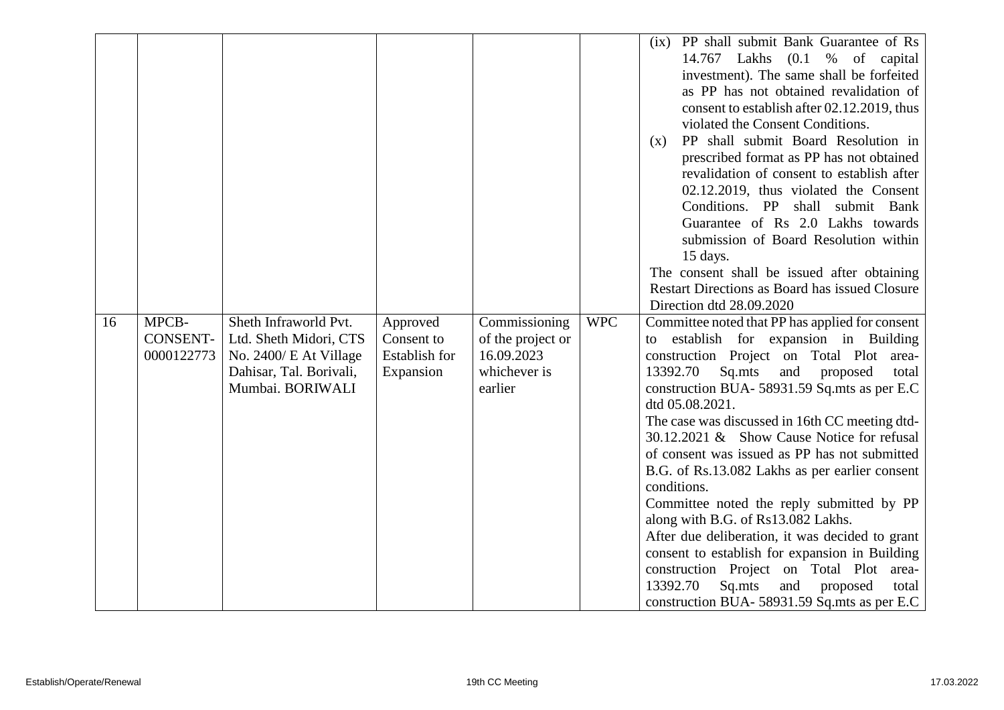|    |                                        |                                                                                                                          |                                                      |                                                                             |            | (ix) PP shall submit Bank Guarantee of Rs<br>$(0.1 \t% of capital)$<br>14.767<br>Lakhs<br>investment). The same shall be forfeited<br>as PP has not obtained revalidation of<br>consent to establish after 02.12.2019, thus<br>violated the Consent Conditions.<br>PP shall submit Board Resolution in<br>(x)<br>prescribed format as PP has not obtained<br>revalidation of consent to establish after<br>02.12.2019, thus violated the Consent<br>Conditions. PP shall submit Bank<br>Guarantee of Rs 2.0 Lakhs towards<br>submission of Board Resolution within<br>15 days.<br>The consent shall be issued after obtaining<br>Restart Directions as Board has issued Closure<br>Direction dtd 28.09.2020                                                                                                      |
|----|----------------------------------------|--------------------------------------------------------------------------------------------------------------------------|------------------------------------------------------|-----------------------------------------------------------------------------|------------|------------------------------------------------------------------------------------------------------------------------------------------------------------------------------------------------------------------------------------------------------------------------------------------------------------------------------------------------------------------------------------------------------------------------------------------------------------------------------------------------------------------------------------------------------------------------------------------------------------------------------------------------------------------------------------------------------------------------------------------------------------------------------------------------------------------|
| 16 | MPCB-<br><b>CONSENT-</b><br>0000122773 | Sheth Infraworld Pvt.<br>Ltd. Sheth Midori, CTS<br>No. 2400/ E At Village<br>Dahisar, Tal. Borivali,<br>Mumbai. BORIWALI | Approved<br>Consent to<br>Establish for<br>Expansion | Commissioning<br>of the project or<br>16.09.2023<br>whichever is<br>earlier | <b>WPC</b> | Committee noted that PP has applied for consent<br>establish for expansion in Building<br>to<br>construction Project on Total Plot area-<br>13392.70<br>Sq.mts<br>and proposed<br>total<br>construction BUA- 58931.59 Sq.mts as per E.C<br>dtd 05.08.2021.<br>The case was discussed in 16th CC meeting dtd-<br>30.12.2021 & Show Cause Notice for refusal<br>of consent was issued as PP has not submitted<br>B.G. of Rs.13.082 Lakhs as per earlier consent<br>conditions.<br>Committee noted the reply submitted by PP<br>along with B.G. of Rs13.082 Lakhs.<br>After due deliberation, it was decided to grant<br>consent to establish for expansion in Building<br>construction Project on Total Plot area-<br>13392.70<br>Sq.mts<br>and proposed<br>total<br>construction BUA- 58931.59 Sq.mts as per E.C. |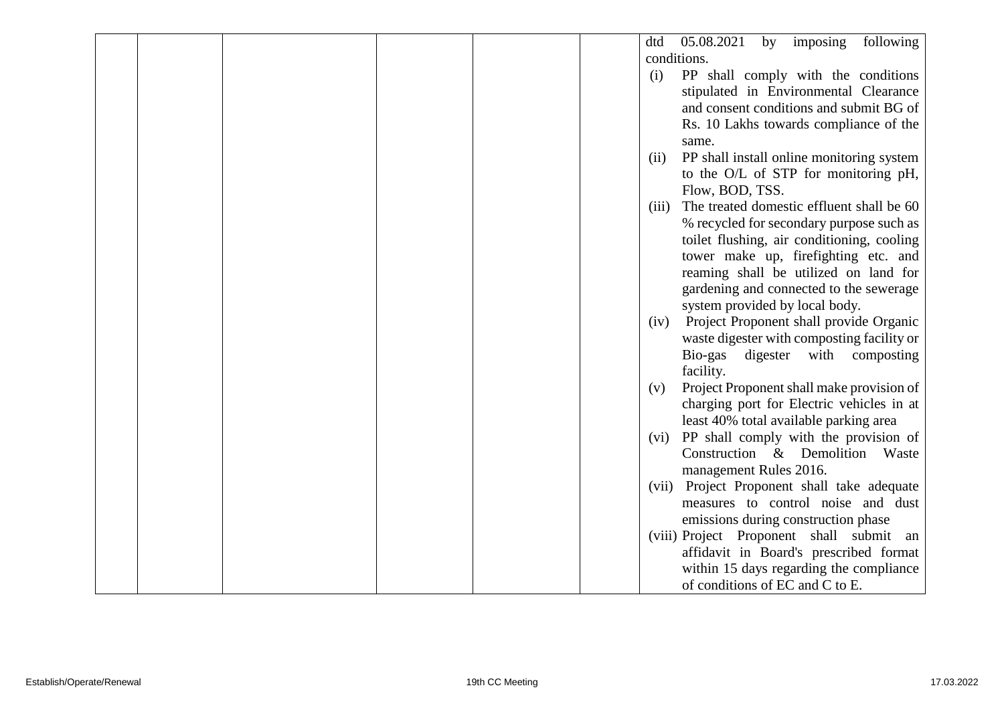|  |  |  | 05.08.2021<br>imposing<br>following<br>dtd<br>by   |
|--|--|--|----------------------------------------------------|
|  |  |  | conditions.                                        |
|  |  |  | PP shall comply with the conditions<br>(i)         |
|  |  |  | stipulated in Environmental Clearance              |
|  |  |  | and consent conditions and submit BG of            |
|  |  |  | Rs. 10 Lakhs towards compliance of the             |
|  |  |  | same.                                              |
|  |  |  | PP shall install online monitoring system<br>(ii)  |
|  |  |  | to the O/L of STP for monitoring pH,               |
|  |  |  | Flow, BOD, TSS.                                    |
|  |  |  | The treated domestic effluent shall be 60<br>(iii) |
|  |  |  | % recycled for secondary purpose such as           |
|  |  |  | toilet flushing, air conditioning, cooling         |
|  |  |  | tower make up, firefighting etc. and               |
|  |  |  | reaming shall be utilized on land for              |
|  |  |  | gardening and connected to the sewerage            |
|  |  |  | system provided by local body.                     |
|  |  |  | Project Proponent shall provide Organic<br>(iv)    |
|  |  |  | waste digester with composting facility or         |
|  |  |  | Bio-gas<br>digester<br>with<br>composting          |
|  |  |  | facility.                                          |
|  |  |  | Project Proponent shall make provision of<br>(v)   |
|  |  |  | charging port for Electric vehicles in at          |
|  |  |  | least 40% total available parking area             |
|  |  |  | PP shall comply with the provision of<br>(vi)      |
|  |  |  | Construction & Demolition<br>Waste                 |
|  |  |  | management Rules 2016.                             |
|  |  |  | Project Proponent shall take adequate<br>(vii)     |
|  |  |  | measures to control noise and dust                 |
|  |  |  | emissions during construction phase                |
|  |  |  | (viii) Project Proponent shall submit an           |
|  |  |  | affidavit in Board's prescribed format             |
|  |  |  | within 15 days regarding the compliance            |
|  |  |  | of conditions of EC and C to E.                    |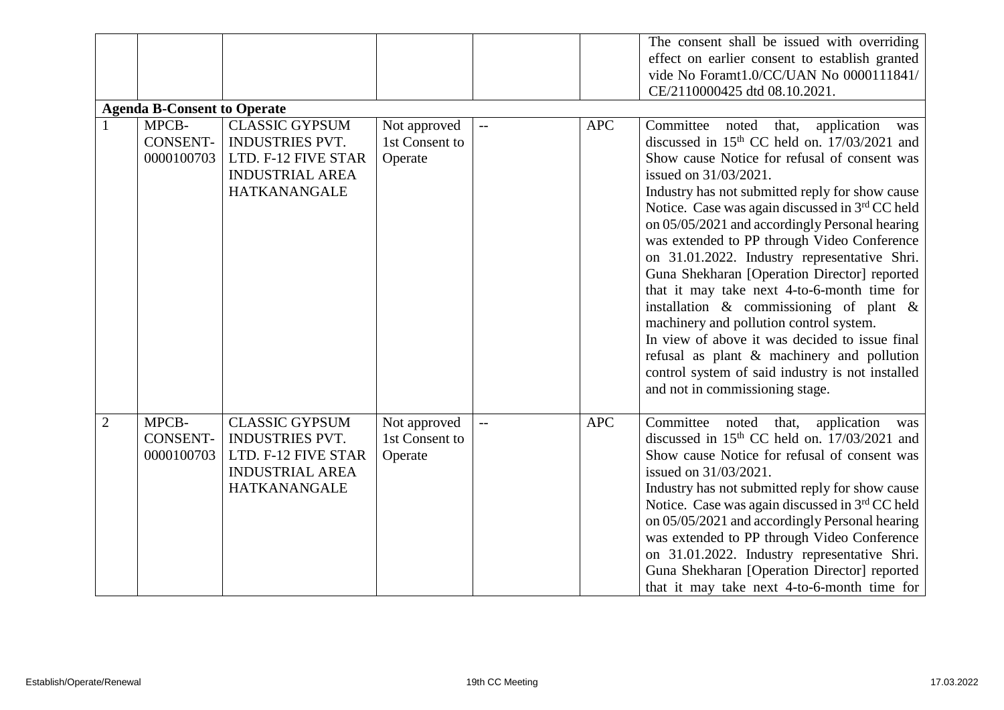|                |                                    |                        |                |                           |            | The consent shall be issued with overriding       |
|----------------|------------------------------------|------------------------|----------------|---------------------------|------------|---------------------------------------------------|
|                |                                    |                        |                |                           |            | effect on earlier consent to establish granted    |
|                |                                    |                        |                |                           |            | vide No Foramt1.0/CC/UAN No 0000111841/           |
|                |                                    |                        |                |                           |            | CE/2110000425 dtd 08.10.2021.                     |
|                | <b>Agenda B-Consent to Operate</b> |                        |                |                           |            |                                                   |
|                | MPCB-                              | <b>CLASSIC GYPSUM</b>  | Not approved   | $\mathbb{H}^{\mathbb{H}}$ | <b>APC</b> | Committee<br>application<br>noted<br>that,<br>was |
|                | <b>CONSENT-</b>                    | INDUSTRIES PVT.        | 1st Consent to |                           |            | discussed in $15th$ CC held on. $17/03/2021$ and  |
|                | 0000100703                         | LTD. F-12 FIVE STAR    | Operate        |                           |            | Show cause Notice for refusal of consent was      |
|                |                                    | <b>INDUSTRIAL AREA</b> |                |                           |            | issued on 31/03/2021.                             |
|                |                                    | <b>HATKANANGALE</b>    |                |                           |            | Industry has not submitted reply for show cause   |
|                |                                    |                        |                |                           |            | Notice. Case was again discussed in 3rd CC held   |
|                |                                    |                        |                |                           |            | on 05/05/2021 and accordingly Personal hearing    |
|                |                                    |                        |                |                           |            | was extended to PP through Video Conference       |
|                |                                    |                        |                |                           |            | on 31.01.2022. Industry representative Shri.      |
|                |                                    |                        |                |                           |            | Guna Shekharan [Operation Director] reported      |
|                |                                    |                        |                |                           |            | that it may take next 4-to-6-month time for       |
|                |                                    |                        |                |                           |            | installation $\&$ commissioning of plant $\&$     |
|                |                                    |                        |                |                           |            | machinery and pollution control system.           |
|                |                                    |                        |                |                           |            | In view of above it was decided to issue final    |
|                |                                    |                        |                |                           |            | refusal as plant & machinery and pollution        |
|                |                                    |                        |                |                           |            | control system of said industry is not installed  |
|                |                                    |                        |                |                           |            | and not in commissioning stage.                   |
|                |                                    |                        |                |                           |            |                                                   |
| $\overline{2}$ | MPCB-                              | <b>CLASSIC GYPSUM</b>  | Not approved   | $-$                       | <b>APC</b> | Committee<br>noted that,<br>application<br>was    |
|                | <b>CONSENT-</b>                    | <b>INDUSTRIES PVT.</b> | 1st Consent to |                           |            | discussed in $15th$ CC held on. $17/03/2021$ and  |
|                | 0000100703                         | LTD. F-12 FIVE STAR    | Operate        |                           |            | Show cause Notice for refusal of consent was      |
|                |                                    | <b>INDUSTRIAL AREA</b> |                |                           |            | issued on 31/03/2021.                             |
|                |                                    | <b>HATKANANGALE</b>    |                |                           |            | Industry has not submitted reply for show cause   |
|                |                                    |                        |                |                           |            | Notice. Case was again discussed in 3rd CC held   |
|                |                                    |                        |                |                           |            | on 05/05/2021 and accordingly Personal hearing    |
|                |                                    |                        |                |                           |            | was extended to PP through Video Conference       |
|                |                                    |                        |                |                           |            | on 31.01.2022. Industry representative Shri.      |
|                |                                    |                        |                |                           |            | Guna Shekharan [Operation Director] reported      |
|                |                                    |                        |                |                           |            | that it may take next 4-to-6-month time for       |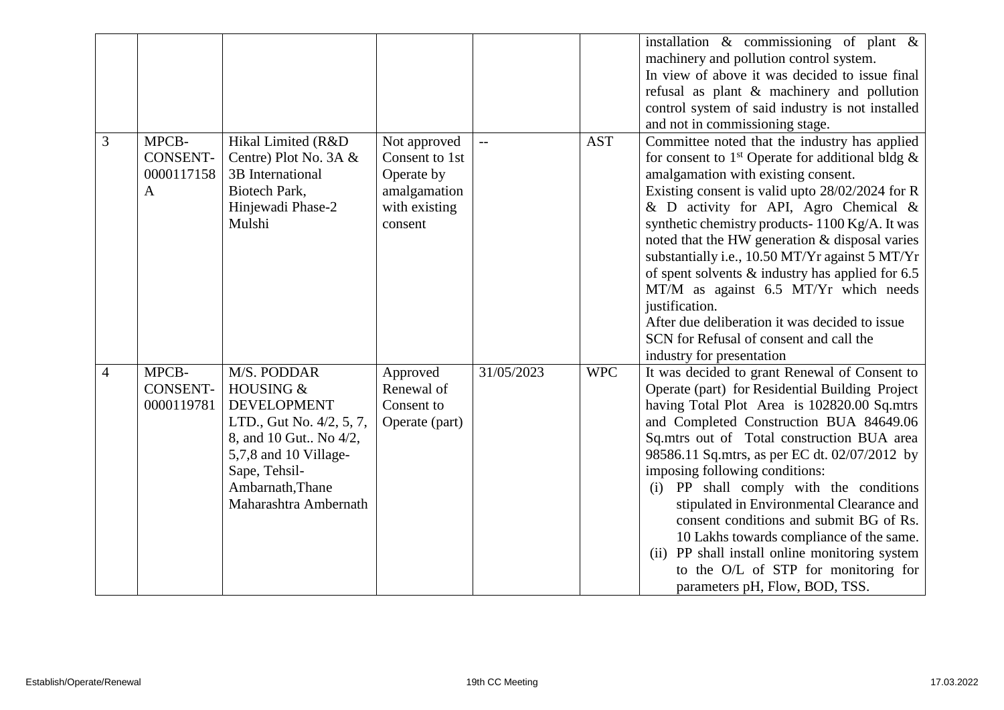|                |                                                        |                                                                                                                                                                                            |                                                                                          |            |            | installation $\&$ commissioning of plant $\&$<br>machinery and pollution control system.<br>In view of above it was decided to issue final<br>refusal as plant & machinery and pollution<br>control system of said industry is not installed<br>and not in commissioning stage.                                                                                                                                                                                                                                                                                                                                                                        |
|----------------|--------------------------------------------------------|--------------------------------------------------------------------------------------------------------------------------------------------------------------------------------------------|------------------------------------------------------------------------------------------|------------|------------|--------------------------------------------------------------------------------------------------------------------------------------------------------------------------------------------------------------------------------------------------------------------------------------------------------------------------------------------------------------------------------------------------------------------------------------------------------------------------------------------------------------------------------------------------------------------------------------------------------------------------------------------------------|
| 3              | MPCB-<br><b>CONSENT-</b><br>0000117158<br>$\mathbf{A}$ | Hikal Limited (R&D<br>Centre) Plot No. 3A &<br>3B International<br>Biotech Park,<br>Hinjewadi Phase-2<br>Mulshi                                                                            | Not approved<br>Consent to 1st<br>Operate by<br>amalgamation<br>with existing<br>consent | $-$        | <b>AST</b> | Committee noted that the industry has applied<br>for consent to 1 <sup>st</sup> Operate for additional bldg $\&$<br>amalgamation with existing consent.<br>Existing consent is valid upto 28/02/2024 for R<br>& D activity for API, Agro Chemical &<br>synthetic chemistry products-1100 Kg/A. It was<br>noted that the HW generation & disposal varies<br>substantially i.e., 10.50 MT/Yr against 5 MT/Yr<br>of spent solvents $\&$ industry has applied for 6.5<br>MT/M as against 6.5 MT/Yr which needs<br>justification.<br>After due deliberation it was decided to issue<br>SCN for Refusal of consent and call the<br>industry for presentation |
| $\overline{4}$ | MPCB-<br><b>CONSENT-</b><br>0000119781                 | M/S. PODDAR<br>HOUSING &<br><b>DEVELOPMENT</b><br>LTD., Gut No. 4/2, 5, 7,<br>8, and 10 Gut No 4/2,<br>5,7,8 and 10 Village-<br>Sape, Tehsil-<br>Ambarnath, Thane<br>Maharashtra Ambernath | Approved<br>Renewal of<br>Consent to<br>Operate (part)                                   | 31/05/2023 | <b>WPC</b> | It was decided to grant Renewal of Consent to<br>Operate (part) for Residential Building Project<br>having Total Plot Area is 102820.00 Sq.mtrs<br>and Completed Construction BUA 84649.06<br>Sq.mtrs out of Total construction BUA area<br>98586.11 Sq.mtrs, as per EC dt. 02/07/2012 by<br>imposing following conditions:<br>(i) PP shall comply with the conditions<br>stipulated in Environmental Clearance and<br>consent conditions and submit BG of Rs.<br>10 Lakhs towards compliance of the same.<br>(ii) PP shall install online monitoring system<br>to the O/L of STP for monitoring for<br>parameters pH, Flow, BOD, TSS.                 |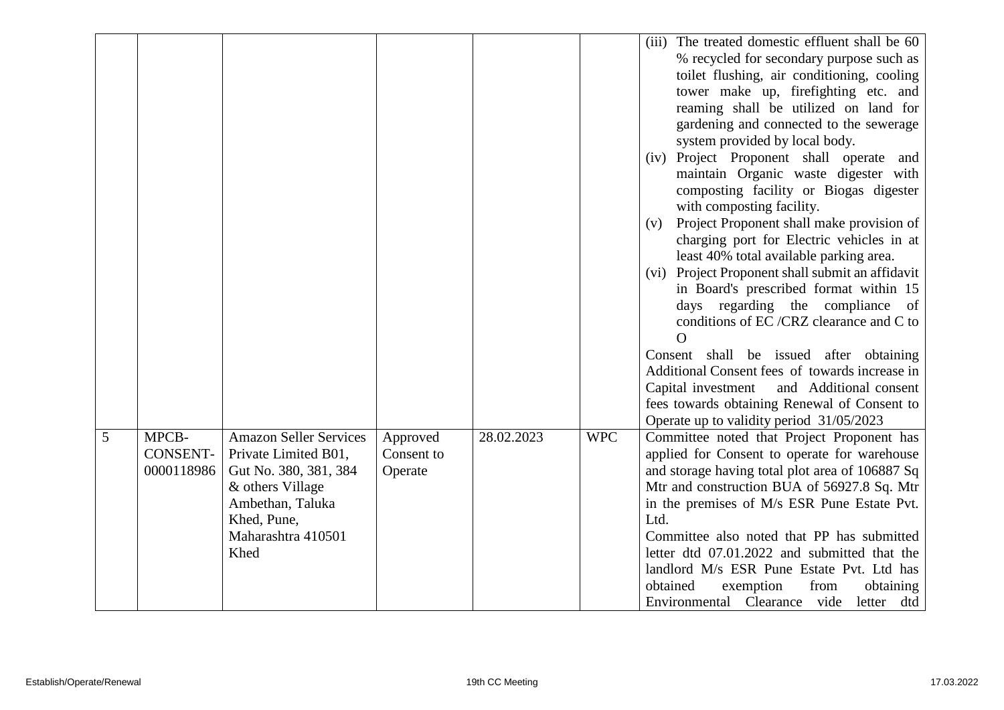|   |                                        |                                                                                                                                                                     |                                   |            |            | (iii) The treated domestic effluent shall be 60<br>% recycled for secondary purpose such as<br>toilet flushing, air conditioning, cooling<br>tower make up, firefighting etc. and                                                                                                                                                                                                                                                                                                                                                                                                                                                                                                                                                                                   |
|---|----------------------------------------|---------------------------------------------------------------------------------------------------------------------------------------------------------------------|-----------------------------------|------------|------------|---------------------------------------------------------------------------------------------------------------------------------------------------------------------------------------------------------------------------------------------------------------------------------------------------------------------------------------------------------------------------------------------------------------------------------------------------------------------------------------------------------------------------------------------------------------------------------------------------------------------------------------------------------------------------------------------------------------------------------------------------------------------|
|   |                                        |                                                                                                                                                                     |                                   |            |            | reaming shall be utilized on land for<br>gardening and connected to the sewerage<br>system provided by local body.<br>(iv) Project Proponent shall operate and<br>maintain Organic waste digester with<br>composting facility or Biogas digester<br>with composting facility.<br>Project Proponent shall make provision of<br>(v)<br>charging port for Electric vehicles in at<br>least 40% total available parking area.<br>(vi) Project Proponent shall submit an affidavit<br>in Board's prescribed format within 15<br>days regarding the compliance<br>of<br>conditions of EC /CRZ clearance and C to<br>$\Omega$<br>Consent shall be issued after obtaining<br>Additional Consent fees of towards increase in<br>Capital investment<br>and Additional consent |
|   |                                        |                                                                                                                                                                     |                                   |            |            | fees towards obtaining Renewal of Consent to<br>Operate up to validity period 31/05/2023                                                                                                                                                                                                                                                                                                                                                                                                                                                                                                                                                                                                                                                                            |
| 5 | MPCB-<br><b>CONSENT-</b><br>0000118986 | <b>Amazon Seller Services</b><br>Private Limited B01,<br>Gut No. 380, 381, 384<br>& others Village<br>Ambethan, Taluka<br>Khed, Pune,<br>Maharashtra 410501<br>Khed | Approved<br>Consent to<br>Operate | 28.02.2023 | <b>WPC</b> | Committee noted that Project Proponent has<br>applied for Consent to operate for warehouse<br>and storage having total plot area of 106887 Sq<br>Mtr and construction BUA of 56927.8 Sq. Mtr<br>in the premises of M/s ESR Pune Estate Pvt.<br>Ltd.<br>Committee also noted that PP has submitted<br>letter dtd 07.01.2022 and submitted that the<br>landlord M/s ESR Pune Estate Pvt. Ltd has<br>obtained<br>exemption<br>from<br>obtaining<br>Environmental Clearance vide<br>letter dtd                                                                                                                                                                                                                                                                          |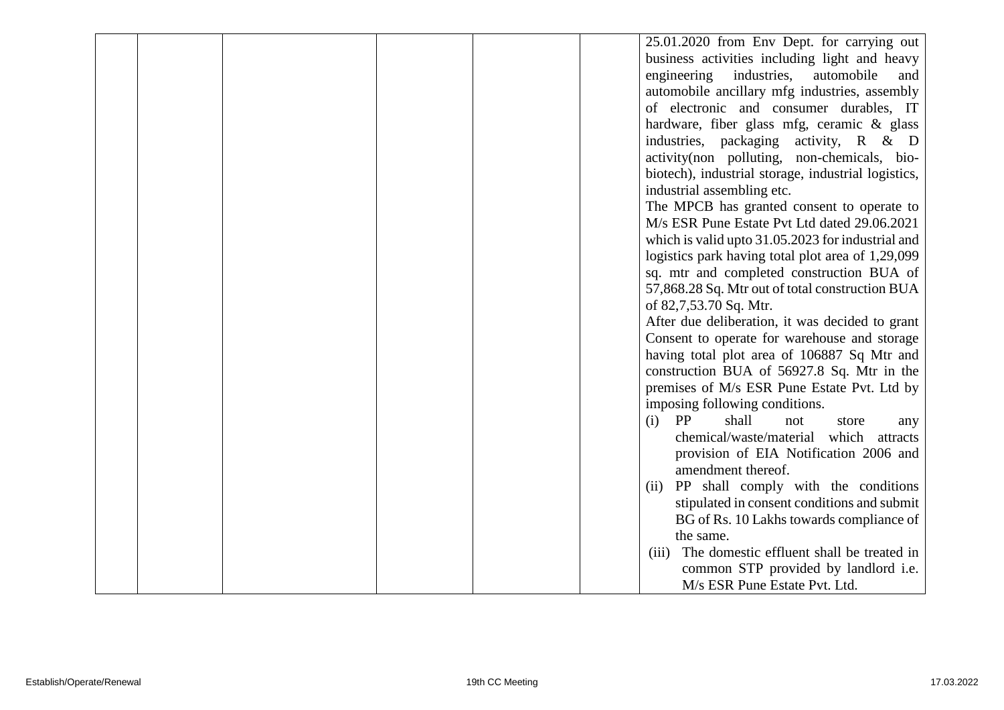|  |  |  | 25.01.2020 from Env Dept. for carrying out          |
|--|--|--|-----------------------------------------------------|
|  |  |  | business activities including light and heavy       |
|  |  |  | industries,<br>engineering<br>automobile<br>and     |
|  |  |  | automobile ancillary mfg industries, assembly       |
|  |  |  | of electronic and consumer durables, IT             |
|  |  |  | hardware, fiber glass mfg, ceramic & glass          |
|  |  |  | industries, packaging activity, R & D               |
|  |  |  | activity(non polluting, non-chemicals, bio-         |
|  |  |  | biotech), industrial storage, industrial logistics, |
|  |  |  | industrial assembling etc.                          |
|  |  |  | The MPCB has granted consent to operate to          |
|  |  |  | M/s ESR Pune Estate Pvt Ltd dated 29.06.2021        |
|  |  |  | which is valid up to 31.05.2023 for industrial and  |
|  |  |  | logistics park having total plot area of 1,29,099   |
|  |  |  | sq. mtr and completed construction BUA of           |
|  |  |  | 57,868.28 Sq. Mtr out of total construction BUA     |
|  |  |  | of 82,7,53.70 Sq. Mtr.                              |
|  |  |  | After due deliberation, it was decided to grant     |
|  |  |  | Consent to operate for warehouse and storage        |
|  |  |  | having total plot area of 106887 Sq Mtr and         |
|  |  |  | construction BUA of 56927.8 Sq. Mtr in the          |
|  |  |  | premises of M/s ESR Pune Estate Pvt. Ltd by         |
|  |  |  | imposing following conditions.                      |
|  |  |  | PP<br>shall<br>(i)<br>not<br>store<br>any           |
|  |  |  | chemical/waste/material which attracts              |
|  |  |  | provision of EIA Notification 2006 and              |
|  |  |  | amendment thereof.                                  |
|  |  |  | PP shall comply with the conditions<br>(ii)         |
|  |  |  | stipulated in consent conditions and submit         |
|  |  |  | BG of Rs. 10 Lakhs towards compliance of            |
|  |  |  | the same.                                           |
|  |  |  | The domestic effluent shall be treated in<br>(iii)  |
|  |  |  | common STP provided by landlord i.e.                |
|  |  |  | M/s ESR Pune Estate Pvt. Ltd.                       |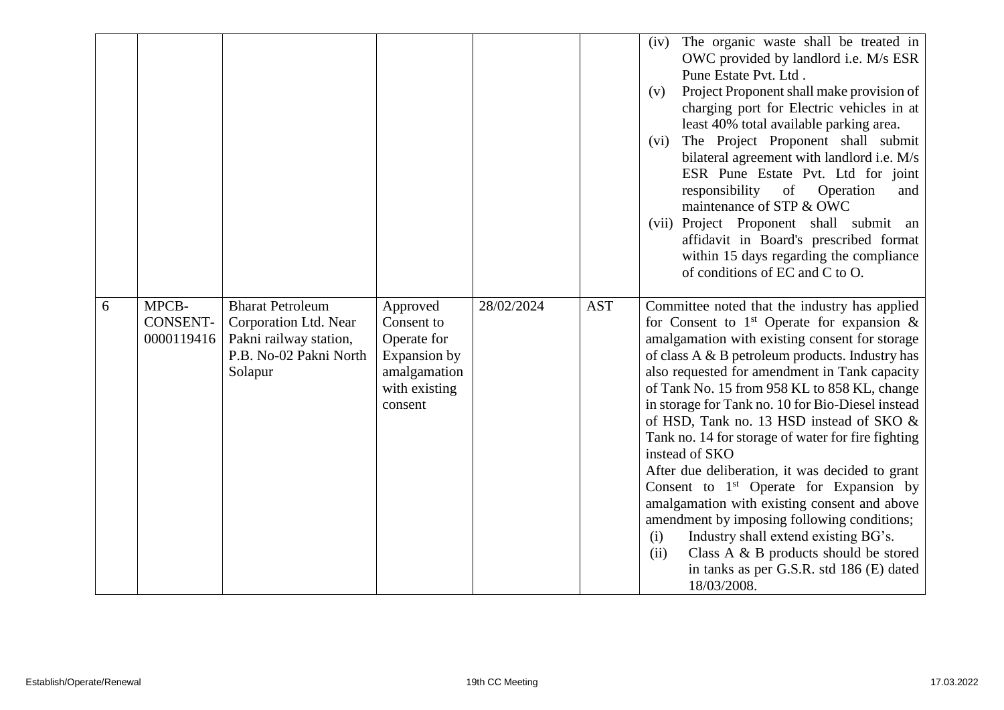|   |                                 |                                                                                                                 |                                                                                                   |            |            | The organic waste shall be treated in<br>(iv)<br>OWC provided by landlord i.e. M/s ESR<br>Pune Estate Pvt. Ltd.<br>Project Proponent shall make provision of<br>(v)<br>charging port for Electric vehicles in at<br>least 40% total available parking area.<br>The Project Proponent shall submit<br>(vi)<br>bilateral agreement with landlord i.e. M/s<br>ESR Pune Estate Pvt. Ltd for joint<br>responsibility<br>Operation<br>of<br>and<br>maintenance of STP & OWC<br>(vii) Project Proponent shall submit an<br>affidavit in Board's prescribed format<br>within 15 days regarding the compliance<br>of conditions of EC and C to O.                                                                                                                                                                                               |
|---|---------------------------------|-----------------------------------------------------------------------------------------------------------------|---------------------------------------------------------------------------------------------------|------------|------------|----------------------------------------------------------------------------------------------------------------------------------------------------------------------------------------------------------------------------------------------------------------------------------------------------------------------------------------------------------------------------------------------------------------------------------------------------------------------------------------------------------------------------------------------------------------------------------------------------------------------------------------------------------------------------------------------------------------------------------------------------------------------------------------------------------------------------------------|
| 6 | MPCB-<br>CONSENT-<br>0000119416 | <b>Bharat Petroleum</b><br>Corporation Ltd. Near<br>Pakni railway station,<br>P.B. No-02 Pakni North<br>Solapur | Approved<br>Consent to<br>Operate for<br>Expansion by<br>amalgamation<br>with existing<br>consent | 28/02/2024 | <b>AST</b> | Committee noted that the industry has applied<br>for Consent to $1st$ Operate for expansion &<br>amalgamation with existing consent for storage<br>of class A & B petroleum products. Industry has<br>also requested for amendment in Tank capacity<br>of Tank No. 15 from 958 KL to 858 KL, change<br>in storage for Tank no. 10 for Bio-Diesel instead<br>of HSD, Tank no. 13 HSD instead of SKO &<br>Tank no. 14 for storage of water for fire fighting<br>instead of SKO<br>After due deliberation, it was decided to grant<br>Consent to $1st$ Operate for Expansion by<br>amalgamation with existing consent and above<br>amendment by imposing following conditions;<br>Industry shall extend existing BG's.<br>(i)<br>Class A & B products should be stored<br>(ii)<br>in tanks as per G.S.R. std 186 (E) dated<br>18/03/2008. |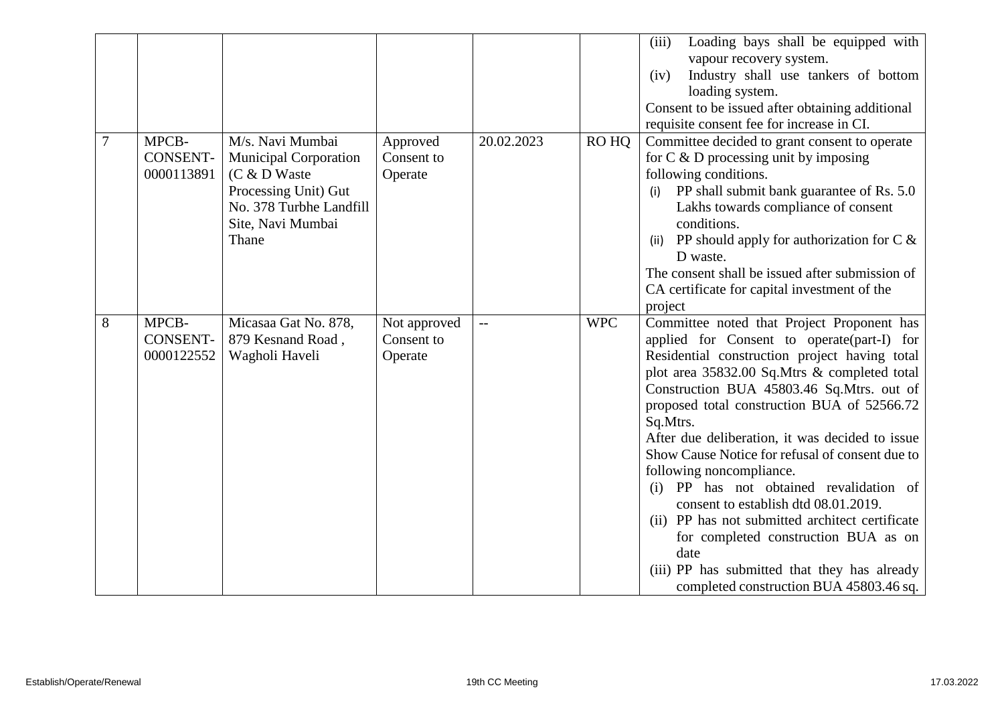|                |                                        |                                                                                                                                                     |                                       |            |            | (iii)<br>Loading bays shall be equipped with<br>vapour recovery system.<br>Industry shall use tankers of bottom<br>(iv)<br>loading system.<br>Consent to be issued after obtaining additional<br>requisite consent fee for increase in CI.                                                                                                                                                                                                                                                                                                                                                                                                                                                                           |
|----------------|----------------------------------------|-----------------------------------------------------------------------------------------------------------------------------------------------------|---------------------------------------|------------|------------|----------------------------------------------------------------------------------------------------------------------------------------------------------------------------------------------------------------------------------------------------------------------------------------------------------------------------------------------------------------------------------------------------------------------------------------------------------------------------------------------------------------------------------------------------------------------------------------------------------------------------------------------------------------------------------------------------------------------|
| $\overline{7}$ | MPCB-<br><b>CONSENT-</b><br>0000113891 | M/s. Navi Mumbai<br><b>Municipal Corporation</b><br>$(C & D$ Waste<br>Processing Unit) Gut<br>No. 378 Turbhe Landfill<br>Site, Navi Mumbai<br>Thane | Approved<br>Consent to<br>Operate     | 20.02.2023 | RO HQ      | Committee decided to grant consent to operate<br>for $C \& D$ processing unit by imposing<br>following conditions.<br>PP shall submit bank guarantee of Rs. 5.0<br>(i)<br>Lakhs towards compliance of consent<br>conditions.<br>PP should apply for authorization for $C \&$<br>(ii)<br>D waste.<br>The consent shall be issued after submission of<br>CA certificate for capital investment of the<br>project                                                                                                                                                                                                                                                                                                       |
| 8              | MPCB-<br><b>CONSENT-</b><br>0000122552 | Micasaa Gat No. 878,<br>879 Kesnand Road,<br>Wagholi Haveli                                                                                         | Not approved<br>Consent to<br>Operate | $-$        | <b>WPC</b> | Committee noted that Project Proponent has<br>applied for Consent to operate(part-I) for<br>Residential construction project having total<br>plot area 35832.00 Sq.Mtrs & completed total<br>Construction BUA 45803.46 Sq.Mtrs. out of<br>proposed total construction BUA of 52566.72<br>Sq.Mtrs.<br>After due deliberation, it was decided to issue<br>Show Cause Notice for refusal of consent due to<br>following noncompliance.<br>(i) PP has not obtained revalidation of<br>consent to establish dtd 08.01.2019.<br>(ii) PP has not submitted architect certificate<br>for completed construction BUA as on<br>date<br>(iii) PP has submitted that they has already<br>completed construction BUA 45803.46 sq. |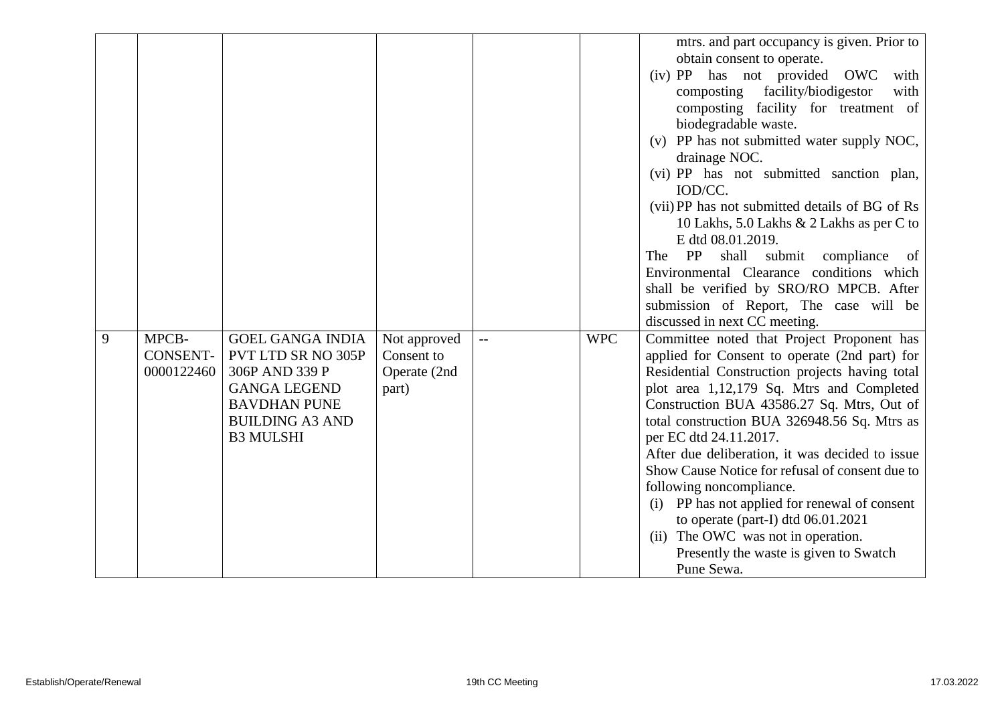|   |                                        |                                                                                                                                                             |                                                     |     |            | mtrs. and part occupancy is given. Prior to<br>obtain consent to operate.<br>(iv) PP has not provided OWC<br>with<br>facility/biodigestor<br>composting<br>with<br>composting facility for treatment of<br>biodegradable waste.<br>(v) PP has not submitted water supply NOC,<br>drainage NOC.<br>(vi) PP has not submitted sanction plan,<br>IOD/CC.<br>(vii) PP has not submitted details of BG of Rs<br>10 Lakhs, 5.0 Lakhs & 2 Lakhs as per C to<br>E dtd 08.01.2019.<br>PP<br>shall submit compliance<br>The<br>- of<br>Environmental Clearance conditions which<br>shall be verified by SRO/RO MPCB. After                            |
|---|----------------------------------------|-------------------------------------------------------------------------------------------------------------------------------------------------------------|-----------------------------------------------------|-----|------------|---------------------------------------------------------------------------------------------------------------------------------------------------------------------------------------------------------------------------------------------------------------------------------------------------------------------------------------------------------------------------------------------------------------------------------------------------------------------------------------------------------------------------------------------------------------------------------------------------------------------------------------------|
|   |                                        |                                                                                                                                                             |                                                     |     |            | submission of Report, The case will be<br>discussed in next CC meeting.                                                                                                                                                                                                                                                                                                                                                                                                                                                                                                                                                                     |
| 9 | MPCB-<br><b>CONSENT-</b><br>0000122460 | <b>GOEL GANGA INDIA</b><br>PVT LTD SR NO 305P<br>306P AND 339 P<br><b>GANGA LEGEND</b><br><b>BAVDHAN PUNE</b><br><b>BUILDING A3 AND</b><br><b>B3 MULSHI</b> | Not approved<br>Consent to<br>Operate (2nd<br>part) | $-$ | <b>WPC</b> | Committee noted that Project Proponent has<br>applied for Consent to operate (2nd part) for<br>Residential Construction projects having total<br>plot area 1,12,179 Sq. Mtrs and Completed<br>Construction BUA 43586.27 Sq. Mtrs, Out of<br>total construction BUA 326948.56 Sq. Mtrs as<br>per EC dtd 24.11.2017.<br>After due deliberation, it was decided to issue<br>Show Cause Notice for refusal of consent due to<br>following noncompliance.<br>(i) PP has not applied for renewal of consent<br>to operate (part-I) dtd $06.01.2021$<br>(ii) The OWC was not in operation.<br>Presently the waste is given to Swatch<br>Pune Sewa. |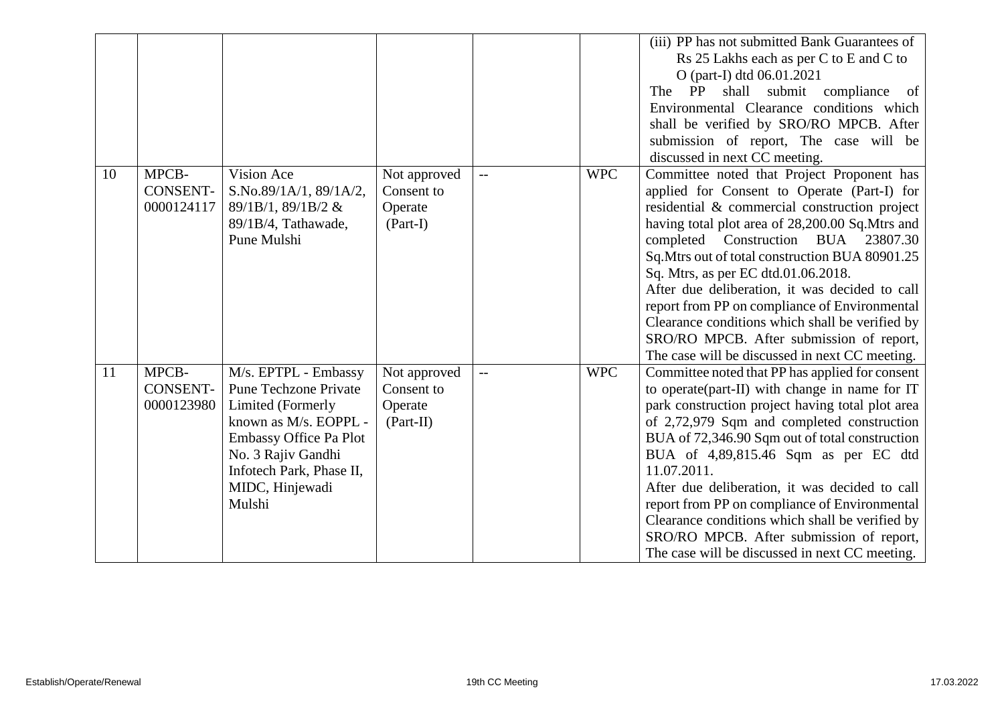|    |                                        |                                                                                                                                                                                                             |                                                      |                   |            | (iii) PP has not submitted Bank Guarantees of<br>Rs 25 Lakhs each as per C to E and C to<br>O (part-I) dtd 06.01.2021<br>PP<br>shall<br>submit<br>compliance<br>The<br>of<br>Environmental Clearance conditions which<br>shall be verified by SRO/RO MPCB. After<br>submission of report, The case will be<br>discussed in next CC meeting.                                                                                                                                                                                                                                        |
|----|----------------------------------------|-------------------------------------------------------------------------------------------------------------------------------------------------------------------------------------------------------------|------------------------------------------------------|-------------------|------------|------------------------------------------------------------------------------------------------------------------------------------------------------------------------------------------------------------------------------------------------------------------------------------------------------------------------------------------------------------------------------------------------------------------------------------------------------------------------------------------------------------------------------------------------------------------------------------|
| 10 | MPCB-<br><b>CONSENT-</b><br>0000124117 | Vision Ace<br>S.No.89/1A/1, 89/1A/2,<br>89/1B/1, 89/1B/2 &<br>89/1B/4, Tathawade,<br>Pune Mulshi                                                                                                            | Not approved<br>Consent to<br>Operate<br>$(Part-I)$  | $\qquad \qquad -$ | <b>WPC</b> | Committee noted that Project Proponent has<br>applied for Consent to Operate (Part-I) for<br>residential & commercial construction project<br>having total plot area of 28,200.00 Sq.Mtrs and<br>completed Construction BUA 23807.30<br>Sq. Mtrs out of total construction BUA 80901.25<br>Sq. Mtrs, as per EC dtd.01.06.2018.<br>After due deliberation, it was decided to call<br>report from PP on compliance of Environmental<br>Clearance conditions which shall be verified by<br>SRO/RO MPCB. After submission of report,<br>The case will be discussed in next CC meeting. |
| 11 | MPCB-<br><b>CONSENT-</b><br>0000123980 | M/s. EPTPL - Embassy<br><b>Pune Techzone Private</b><br>Limited (Formerly<br>known as M/s. EOPPL -<br>Embassy Office Pa Plot<br>No. 3 Rajiv Gandhi<br>Infotech Park, Phase II,<br>MIDC, Hinjewadi<br>Mulshi | Not approved<br>Consent to<br>Operate<br>$(Part-II)$ | $- -$             | <b>WPC</b> | Committee noted that PP has applied for consent<br>to operate (part-II) with change in name for IT<br>park construction project having total plot area<br>of 2,72,979 Sqm and completed construction<br>BUA of 72,346.90 Sqm out of total construction<br>BUA of 4,89,815.46 Sqm as per EC dtd<br>11.07.2011.<br>After due deliberation, it was decided to call<br>report from PP on compliance of Environmental<br>Clearance conditions which shall be verified by<br>SRO/RO MPCB. After submission of report,<br>The case will be discussed in next CC meeting.                  |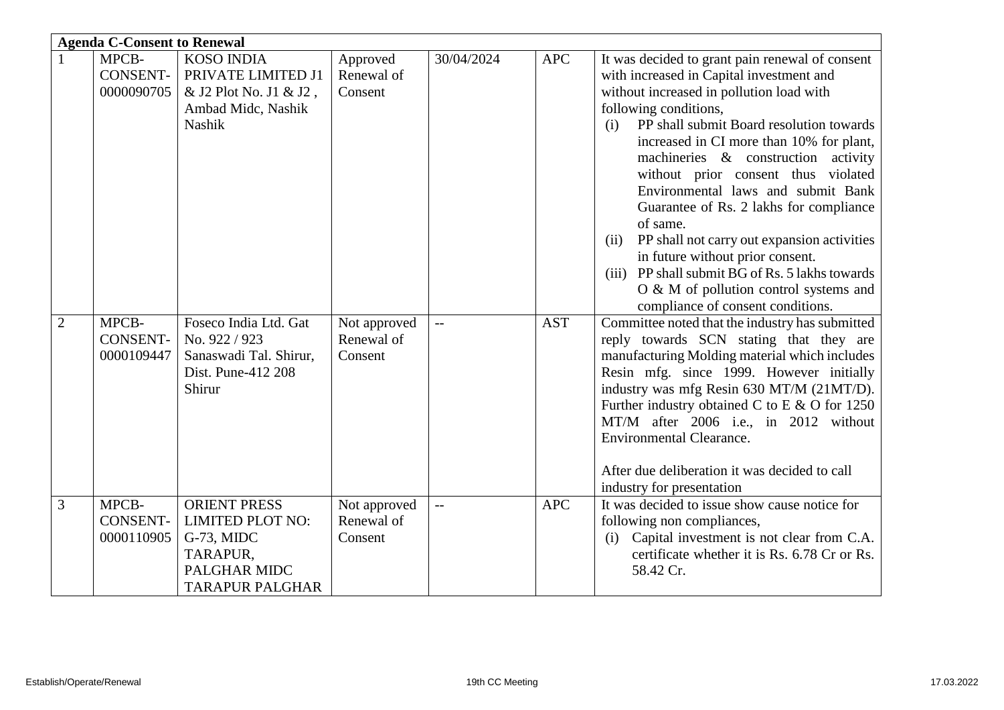| <b>Agenda C-Consent to Renewal</b> |                                                 |                                                                                                                                   |                                                   |                   |                          |                                                                                                                                                                                                                                                                                                                                                                                                                                                                                                                                                                                                                                                                                                                               |  |  |
|------------------------------------|-------------------------------------------------|-----------------------------------------------------------------------------------------------------------------------------------|---------------------------------------------------|-------------------|--------------------------|-------------------------------------------------------------------------------------------------------------------------------------------------------------------------------------------------------------------------------------------------------------------------------------------------------------------------------------------------------------------------------------------------------------------------------------------------------------------------------------------------------------------------------------------------------------------------------------------------------------------------------------------------------------------------------------------------------------------------------|--|--|
| $\overline{2}$                     | MPCB-<br><b>CONSENT-</b><br>0000090705<br>MPCB- | <b>KOSO INDIA</b><br>PRIVATE LIMITED J1<br>& J2 Plot No. J1 & J2,<br>Ambad Midc, Nashik<br><b>Nashik</b><br>Foseco India Ltd. Gat | Approved<br>Renewal of<br>Consent<br>Not approved | 30/04/2024<br>$-$ | <b>APC</b><br><b>AST</b> | It was decided to grant pain renewal of consent<br>with increased in Capital investment and<br>without increased in pollution load with<br>following conditions,<br>PP shall submit Board resolution towards<br>(i)<br>increased in CI more than 10% for plant,<br>machineries $\&$ construction activity<br>without prior consent thus violated<br>Environmental laws and submit Bank<br>Guarantee of Rs. 2 lakhs for compliance<br>of same.<br>PP shall not carry out expansion activities<br>(ii)<br>in future without prior consent.<br>(iii) PP shall submit BG of Rs. 5 lakhs towards<br>O & M of pollution control systems and<br>compliance of consent conditions.<br>Committee noted that the industry has submitted |  |  |
|                                    | <b>CONSENT-</b><br>0000109447                   | No. 922 / 923<br>Sanaswadi Tal. Shirur,<br>Dist. Pune-412 208<br>Shirur                                                           | Renewal of<br>Consent                             |                   |                          | reply towards SCN stating that they are<br>manufacturing Molding material which includes<br>Resin mfg. since 1999. However initially<br>industry was mfg Resin 630 MT/M (21MT/D).<br>Further industry obtained C to E & O for 1250<br>MT/M after 2006 i.e., in 2012 without<br><b>Environmental Clearance.</b><br>After due deliberation it was decided to call<br>industry for presentation                                                                                                                                                                                                                                                                                                                                  |  |  |
| 3                                  | MPCB-<br><b>CONSENT-</b><br>0000110905          | <b>ORIENT PRESS</b><br><b>LIMITED PLOT NO:</b><br>G-73, MIDC<br>TARAPUR,<br><b>PALGHAR MIDC</b><br><b>TARAPUR PALGHAR</b>         | Not approved<br>Renewal of<br>Consent             |                   | <b>APC</b>               | It was decided to issue show cause notice for<br>following non compliances,<br>Capital investment is not clear from C.A.<br>(i)<br>certificate whether it is Rs. 6.78 Cr or Rs.<br>58.42 Cr.                                                                                                                                                                                                                                                                                                                                                                                                                                                                                                                                  |  |  |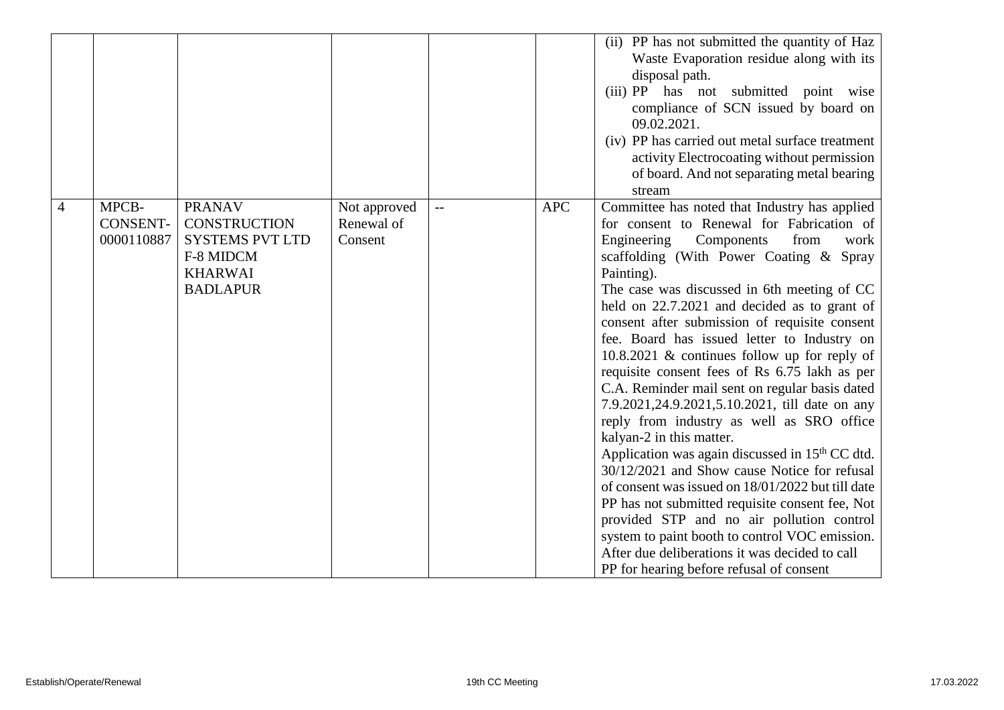|   |                                        |                                                                                                                  |                                       |                          |            | (ii) PP has not submitted the quantity of Haz<br>Waste Evaporation residue along with its<br>disposal path.<br>(iii) PP has not submitted point wise<br>compliance of SCN issued by board on<br>09.02.2021.<br>(iv) PP has carried out metal surface treatment<br>activity Electrocoating without permission<br>of board. And not separating metal bearing<br>stream                                                                                                                                                                                                                                                                                                                                                                                                                                                                                                                                                                                                                                                                                                                                   |
|---|----------------------------------------|------------------------------------------------------------------------------------------------------------------|---------------------------------------|--------------------------|------------|--------------------------------------------------------------------------------------------------------------------------------------------------------------------------------------------------------------------------------------------------------------------------------------------------------------------------------------------------------------------------------------------------------------------------------------------------------------------------------------------------------------------------------------------------------------------------------------------------------------------------------------------------------------------------------------------------------------------------------------------------------------------------------------------------------------------------------------------------------------------------------------------------------------------------------------------------------------------------------------------------------------------------------------------------------------------------------------------------------|
| 4 | MPCB-<br><b>CONSENT-</b><br>0000110887 | <b>PRANAV</b><br><b>CONSTRUCTION</b><br><b>SYSTEMS PVT LTD</b><br>F-8 MIDCM<br><b>KHARWAI</b><br><b>BADLAPUR</b> | Not approved<br>Renewal of<br>Consent | $\overline{\phantom{a}}$ | <b>APC</b> | Committee has noted that Industry has applied<br>for consent to Renewal for Fabrication of<br>from<br>Engineering<br>Components<br>work<br>scaffolding (With Power Coating & Spray<br>Painting).<br>The case was discussed in 6th meeting of CC<br>held on 22.7.2021 and decided as to grant of<br>consent after submission of requisite consent<br>fee. Board has issued letter to Industry on<br>10.8.2021 $\&$ continues follow up for reply of<br>requisite consent fees of Rs 6.75 lakh as per<br>C.A. Reminder mail sent on regular basis dated<br>7.9.2021, 24.9.2021, 5.10.2021, till date on any<br>reply from industry as well as SRO office<br>kalyan-2 in this matter.<br>Application was again discussed in 15 <sup>th</sup> CC dtd.<br>30/12/2021 and Show cause Notice for refusal<br>of consent was issued on 18/01/2022 but till date<br>PP has not submitted requisite consent fee, Not<br>provided STP and no air pollution control<br>system to paint booth to control VOC emission.<br>After due deliberations it was decided to call<br>PP for hearing before refusal of consent |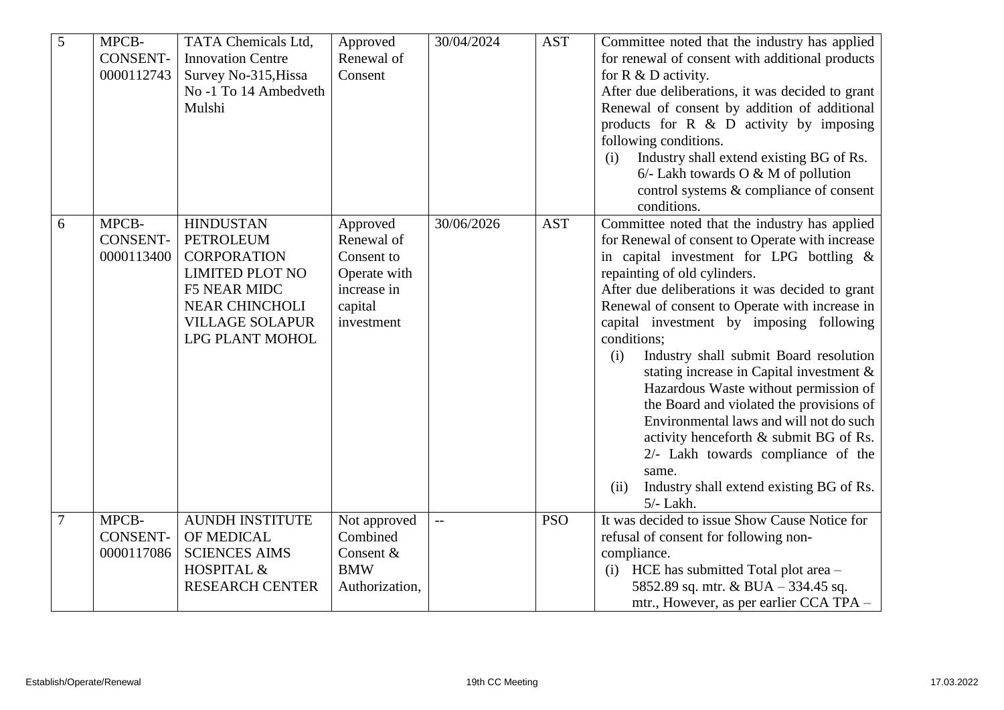| 5 | MPCB-<br><b>CONSENT-</b><br>0000112743 | TATA Chemicals Ltd,<br><b>Innovation Centre</b><br>Survey No-315, Hissa<br>No -1 To 14 Ambedveth<br>Mulshi                                                                        | Approved<br>Renewal of<br>Consent                                                            | 30/04/2024 | <b>AST</b> | Committee noted that the industry has applied<br>for renewal of consent with additional products<br>for $R \& D$ activity.<br>After due deliberations, it was decided to grant<br>Renewal of consent by addition of additional<br>products for $R \& D$ activity by imposing<br>following conditions.<br>Industry shall extend existing BG of Rs.<br>(i)<br>$6/-$ Lakh towards O & M of pollution<br>control systems & compliance of consent<br>conditions.                                                                                                                                                                                                                                                                              |
|---|----------------------------------------|-----------------------------------------------------------------------------------------------------------------------------------------------------------------------------------|----------------------------------------------------------------------------------------------|------------|------------|------------------------------------------------------------------------------------------------------------------------------------------------------------------------------------------------------------------------------------------------------------------------------------------------------------------------------------------------------------------------------------------------------------------------------------------------------------------------------------------------------------------------------------------------------------------------------------------------------------------------------------------------------------------------------------------------------------------------------------------|
| 6 | MPCB-<br><b>CONSENT-</b><br>0000113400 | <b>HINDUSTAN</b><br><b>PETROLEUM</b><br><b>CORPORATION</b><br><b>LIMITED PLOT NO</b><br><b>F5 NEAR MIDC</b><br><b>NEAR CHINCHOLI</b><br><b>VILLAGE SOLAPUR</b><br>LPG PLANT MOHOL | Approved<br>Renewal of<br>Consent to<br>Operate with<br>increase in<br>capital<br>investment | 30/06/2026 | <b>AST</b> | Committee noted that the industry has applied<br>for Renewal of consent to Operate with increase<br>in capital investment for LPG bottling &<br>repainting of old cylinders.<br>After due deliberations it was decided to grant<br>Renewal of consent to Operate with increase in<br>capital investment by imposing following<br>conditions;<br>Industry shall submit Board resolution<br>(i)<br>stating increase in Capital investment $\&$<br>Hazardous Waste without permission of<br>the Board and violated the provisions of<br>Environmental laws and will not do such<br>activity henceforth & submit BG of Rs.<br>2/- Lakh towards compliance of the<br>same.<br>Industry shall extend existing BG of Rs.<br>(ii)<br>$5/-$ Lakh. |
|   | MPCB-<br><b>CONSENT-</b><br>0000117086 | <b>AUNDH INSTITUTE</b><br>OF MEDICAL<br><b>SCIENCES AIMS</b><br>HOSPITAL &<br><b>RESEARCH CENTER</b>                                                                              | Not approved<br>Combined<br>Consent &<br><b>BMW</b><br>Authorization,                        |            | <b>PSO</b> | It was decided to issue Show Cause Notice for<br>refusal of consent for following non-<br>compliance.<br>(i) HCE has submitted Total plot area $-$<br>5852.89 sq. mtr. & BUA - 334.45 sq.<br>mtr., However, as per earlier CCA TPA -                                                                                                                                                                                                                                                                                                                                                                                                                                                                                                     |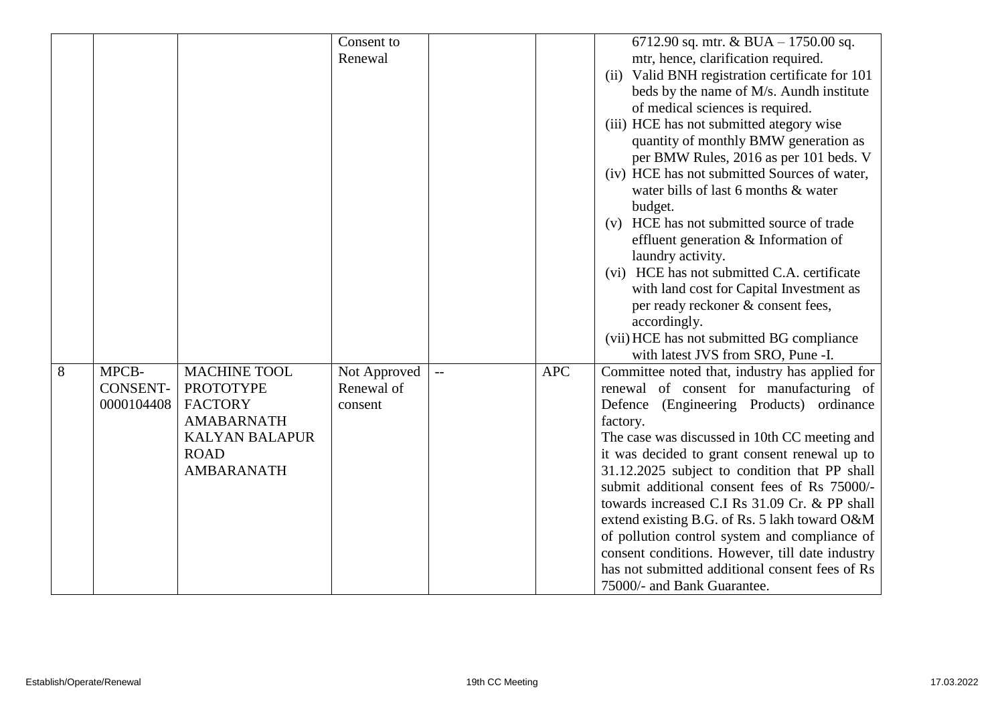|   |                 |                       | Consent to   |                          |            | 6712.90 sq. mtr. & BUA - 1750.00 sq.            |
|---|-----------------|-----------------------|--------------|--------------------------|------------|-------------------------------------------------|
|   |                 |                       | Renewal      |                          |            | mtr, hence, clarification required.             |
|   |                 |                       |              |                          |            | (ii) Valid BNH registration certificate for 101 |
|   |                 |                       |              |                          |            |                                                 |
|   |                 |                       |              |                          |            | beds by the name of M/s. Aundh institute        |
|   |                 |                       |              |                          |            | of medical sciences is required.                |
|   |                 |                       |              |                          |            | (iii) HCE has not submitted ategory wise        |
|   |                 |                       |              |                          |            | quantity of monthly BMW generation as           |
|   |                 |                       |              |                          |            | per BMW Rules, 2016 as per 101 beds. V          |
|   |                 |                       |              |                          |            | (iv) HCE has not submitted Sources of water,    |
|   |                 |                       |              |                          |            | water bills of last 6 months & water            |
|   |                 |                       |              |                          |            | budget.                                         |
|   |                 |                       |              |                          |            | HCE has not submitted source of trade<br>(v)    |
|   |                 |                       |              |                          |            | effluent generation & Information of            |
|   |                 |                       |              |                          |            | laundry activity.                               |
|   |                 |                       |              |                          |            | (vi) HCE has not submitted C.A. certificate     |
|   |                 |                       |              |                          |            | with land cost for Capital Investment as        |
|   |                 |                       |              |                          |            | per ready reckoner & consent fees,              |
|   |                 |                       |              |                          |            | accordingly.                                    |
|   |                 |                       |              |                          |            | (vii) HCE has not submitted BG compliance       |
|   |                 |                       |              |                          |            | with latest JVS from SRO, Pune -I.              |
| 8 | MPCB-           | <b>MACHINE TOOL</b>   | Not Approved | $\overline{\phantom{a}}$ | <b>APC</b> | Committee noted that, industry has applied for  |
|   | <b>CONSENT-</b> | <b>PROTOTYPE</b>      | Renewal of   |                          |            | renewal of consent for manufacturing of         |
|   | 0000104408      | <b>FACTORY</b>        | consent      |                          |            | (Engineering Products) ordinance<br>Defence     |
|   |                 | <b>AMABARNATH</b>     |              |                          |            | factory.                                        |
|   |                 | <b>KALYAN BALAPUR</b> |              |                          |            | The case was discussed in 10th CC meeting and   |
|   |                 | <b>ROAD</b>           |              |                          |            | it was decided to grant consent renewal up to   |
|   |                 | <b>AMBARANATH</b>     |              |                          |            | 31.12.2025 subject to condition that PP shall   |
|   |                 |                       |              |                          |            | submit additional consent fees of Rs 75000/-    |
|   |                 |                       |              |                          |            | towards increased C.I Rs 31.09 Cr. & PP shall   |
|   |                 |                       |              |                          |            | extend existing B.G. of Rs. 5 lakh toward O&M   |
|   |                 |                       |              |                          |            |                                                 |
|   |                 |                       |              |                          |            | of pollution control system and compliance of   |
|   |                 |                       |              |                          |            | consent conditions. However, till date industry |
|   |                 |                       |              |                          |            | has not submitted additional consent fees of Rs |
|   |                 |                       |              |                          |            | 75000/- and Bank Guarantee.                     |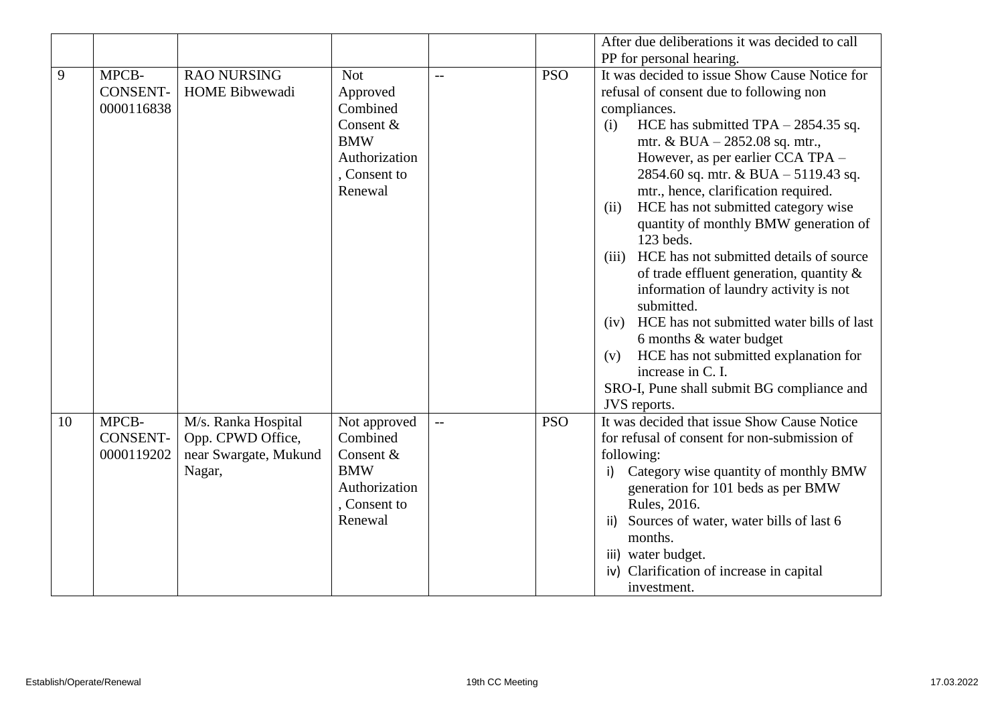|    |                                        |                                                                             |                                                                                                           |     |            | After due deliberations it was decided to call                                                                                                                                                                                                                                                                                                                                                                                                                                                                                                                                                                                                                                                                                                                                                       |
|----|----------------------------------------|-----------------------------------------------------------------------------|-----------------------------------------------------------------------------------------------------------|-----|------------|------------------------------------------------------------------------------------------------------------------------------------------------------------------------------------------------------------------------------------------------------------------------------------------------------------------------------------------------------------------------------------------------------------------------------------------------------------------------------------------------------------------------------------------------------------------------------------------------------------------------------------------------------------------------------------------------------------------------------------------------------------------------------------------------------|
|    |                                        |                                                                             |                                                                                                           |     |            | PP for personal hearing.                                                                                                                                                                                                                                                                                                                                                                                                                                                                                                                                                                                                                                                                                                                                                                             |
| 9  | MPCB-<br><b>CONSENT-</b><br>0000116838 | <b>RAO NURSING</b><br><b>HOME Bibwewadi</b>                                 | <b>Not</b><br>Approved<br>Combined<br>Consent &<br><b>BMW</b><br>Authorization<br>, Consent to<br>Renewal | $-$ | <b>PSO</b> | It was decided to issue Show Cause Notice for<br>refusal of consent due to following non<br>compliances.<br>HCE has submitted $TPA - 2854.35$ sq.<br>(i)<br>mtr. & BUA $- 2852.08$ sq. mtr.,<br>However, as per earlier CCA TPA -<br>2854.60 sq. mtr. & BUA - 5119.43 sq.<br>mtr., hence, clarification required.<br>HCE has not submitted category wise<br>(ii)<br>quantity of monthly BMW generation of<br>123 beds.<br>HCE has not submitted details of source<br>(iii)<br>of trade effluent generation, quantity $\&$<br>information of laundry activity is not<br>submitted.<br>HCE has not submitted water bills of last<br>(iv)<br>6 months & water budget<br>HCE has not submitted explanation for<br>(v)<br>increase in C. I.<br>SRO-I, Pune shall submit BG compliance and<br>JVS reports. |
| 10 | MPCB-<br>CONSENT-<br>0000119202        | M/s. Ranka Hospital<br>Opp. CPWD Office,<br>near Swargate, Mukund<br>Nagar, | Not approved<br>Combined<br>Consent &<br><b>BMW</b><br>Authorization<br>, Consent to<br>Renewal           | $-$ | <b>PSO</b> | It was decided that issue Show Cause Notice<br>for refusal of consent for non-submission of<br>following:<br>Category wise quantity of monthly BMW<br>i)<br>generation for 101 beds as per BMW<br>Rules, 2016.<br>Sources of water, water bills of last 6<br>ii)<br>months.<br>iii) water budget.<br>iv) Clarification of increase in capital<br>investment.                                                                                                                                                                                                                                                                                                                                                                                                                                         |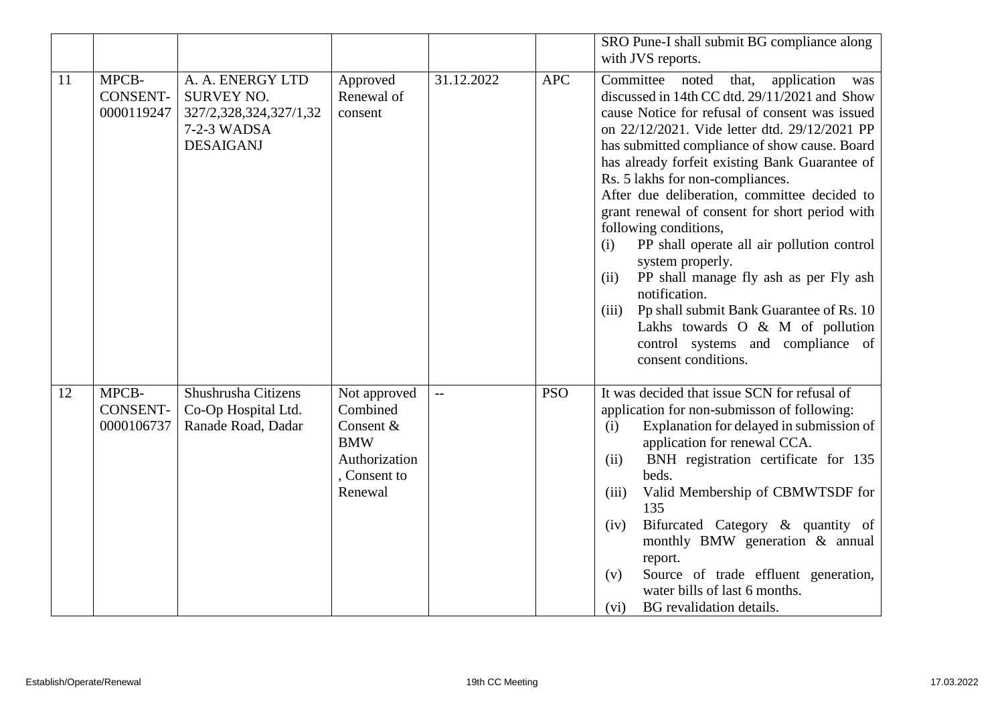|    |                                        |                                                                                                    |                                                                                                 |            |            | SRO Pune-I shall submit BG compliance along<br>with JVS reports.                                                                                                                                                                                                                                                                                                                                                                                                                                                                                                                                                                                                                                                                                                         |
|----|----------------------------------------|----------------------------------------------------------------------------------------------------|-------------------------------------------------------------------------------------------------|------------|------------|--------------------------------------------------------------------------------------------------------------------------------------------------------------------------------------------------------------------------------------------------------------------------------------------------------------------------------------------------------------------------------------------------------------------------------------------------------------------------------------------------------------------------------------------------------------------------------------------------------------------------------------------------------------------------------------------------------------------------------------------------------------------------|
| 11 | MPCB-<br><b>CONSENT-</b><br>0000119247 | A. A. ENERGY LTD<br><b>SURVEY NO.</b><br>327/2,328,324,327/1,32<br>7-2-3 WADSA<br><b>DESAIGANJ</b> | Approved<br>Renewal of<br>consent                                                               | 31.12.2022 | <b>APC</b> | Committee<br>noted<br>that,<br>application<br>was<br>discussed in 14th CC dtd. 29/11/2021 and Show<br>cause Notice for refusal of consent was issued<br>on 22/12/2021. Vide letter dtd. 29/12/2021 PP<br>has submitted compliance of show cause. Board<br>has already forfeit existing Bank Guarantee of<br>Rs. 5 lakhs for non-compliances.<br>After due deliberation, committee decided to<br>grant renewal of consent for short period with<br>following conditions,<br>PP shall operate all air pollution control<br>(i)<br>system properly.<br>PP shall manage fly ash as per Fly ash<br>(ii)<br>notification.<br>Pp shall submit Bank Guarantee of Rs. 10<br>(iii)<br>Lakhs towards O & M of pollution<br>control systems and compliance of<br>consent conditions. |
| 12 | MPCB-<br>CONSENT-<br>0000106737        | Shushrusha Citizens<br>Co-Op Hospital Ltd.<br>Ranade Road, Dadar                                   | Not approved<br>Combined<br>Consent &<br><b>BMW</b><br>Authorization<br>, Consent to<br>Renewal | $-$        | <b>PSO</b> | It was decided that issue SCN for refusal of<br>application for non-submisson of following:<br>Explanation for delayed in submission of<br>(i)<br>application for renewal CCA.<br>BNH registration certificate for 135<br>(ii)<br>beds.<br>Valid Membership of CBMWTSDF for<br>(iii)<br>135<br>Bifurcated Category & quantity of<br>(iv)<br>monthly BMW generation & annual<br>report.<br>Source of trade effluent generation,<br>(v)<br>water bills of last 6 months.<br>BG revalidation details.<br>(vi)                                                                                                                                                                                                                                                               |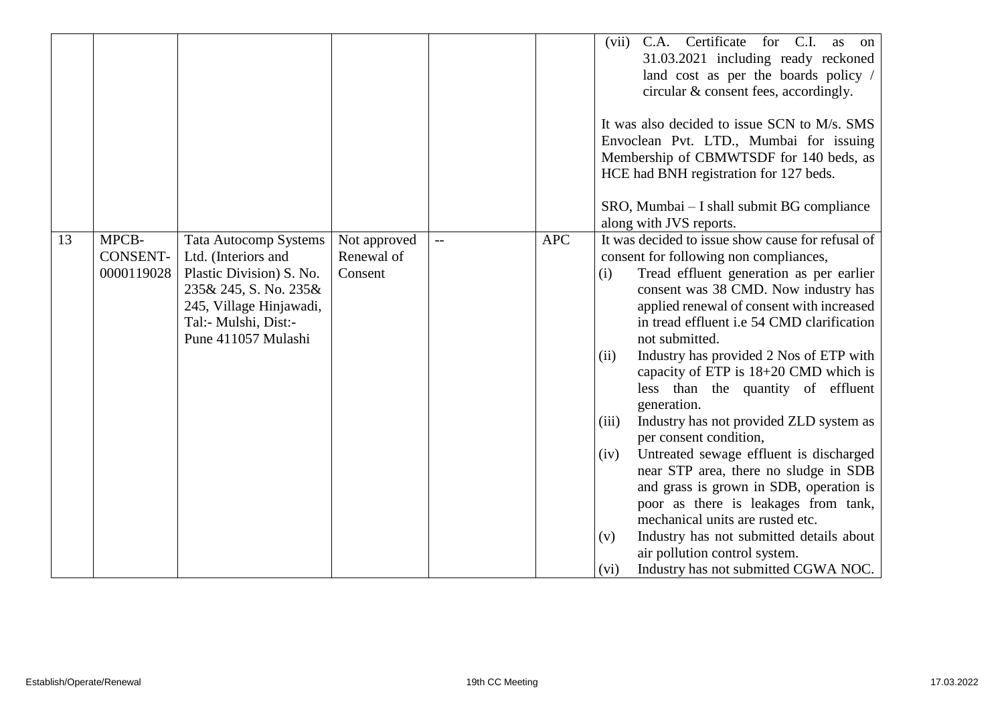|    |                                        |                                                                                                                                                                                    |                                       |              |            | Certificate<br>for C.I.<br>(vii)<br>C.A.<br>as<br>$\alpha$<br>31.03.2021 including ready reckoned<br>land cost as per the boards policy /<br>circular & consent fees, accordingly.<br>It was also decided to issue SCN to M/s. SMS<br>Envoclean Pvt. LTD., Mumbai for issuing<br>Membership of CBMWTSDF for 140 beds, as<br>HCE had BNH registration for 127 beds.<br>SRO, Mumbai – I shall submit BG compliance<br>along with JVS reports.                                                                                                                                                                                                                                                                                                                                                                                                                                               |
|----|----------------------------------------|------------------------------------------------------------------------------------------------------------------------------------------------------------------------------------|---------------------------------------|--------------|------------|-------------------------------------------------------------------------------------------------------------------------------------------------------------------------------------------------------------------------------------------------------------------------------------------------------------------------------------------------------------------------------------------------------------------------------------------------------------------------------------------------------------------------------------------------------------------------------------------------------------------------------------------------------------------------------------------------------------------------------------------------------------------------------------------------------------------------------------------------------------------------------------------|
| 13 | MPCB-<br><b>CONSENT-</b><br>0000119028 | <b>Tata Autocomp Systems</b><br>Ltd. (Interiors and<br>Plastic Division) S. No.<br>235& 245, S. No. 235&<br>245, Village Hinjawadi,<br>Tal:- Mulshi, Dist:-<br>Pune 411057 Mulashi | Not approved<br>Renewal of<br>Consent | $\mathbf{L}$ | <b>APC</b> | It was decided to issue show cause for refusal of<br>consent for following non compliances,<br>Tread effluent generation as per earlier<br>(i)<br>consent was 38 CMD. Now industry has<br>applied renewal of consent with increased<br>in tread effluent i.e 54 CMD clarification<br>not submitted.<br>Industry has provided 2 Nos of ETP with<br>(ii)<br>capacity of ETP is 18+20 CMD which is<br>less than the quantity of effluent<br>generation.<br>Industry has not provided ZLD system as<br>(iii)<br>per consent condition,<br>Untreated sewage effluent is discharged<br>(iv)<br>near STP area, there no sludge in SDB<br>and grass is grown in SDB, operation is<br>poor as there is leakages from tank,<br>mechanical units are rusted etc.<br>Industry has not submitted details about<br>(v)<br>air pollution control system.<br>Industry has not submitted CGWA NOC.<br>(vi) |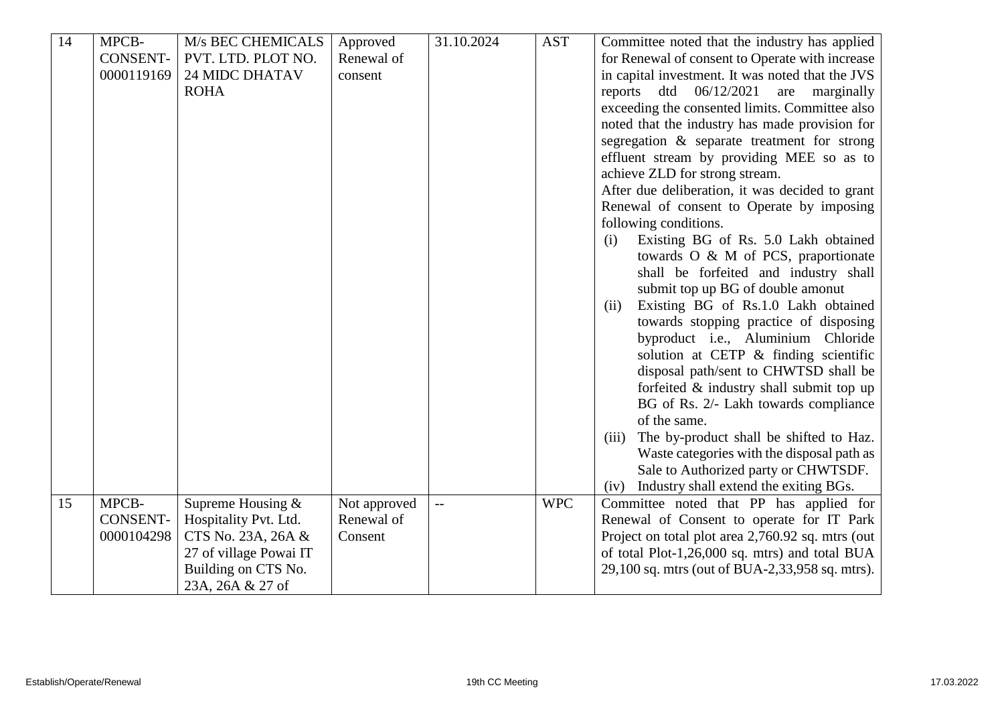| 14 | MPCB-<br><b>CONSENT-</b><br>0000119169 | M/s BEC CHEMICALS<br>PVT. LTD. PLOT NO.<br><b>24 MIDC DHATAV</b><br><b>ROHA</b>                                                         | Approved<br>Renewal of<br>consent     | 31.10.2024 | <b>AST</b> | Committee noted that the industry has applied<br>for Renewal of consent to Operate with increase<br>in capital investment. It was noted that the JVS<br>dtd<br>06/12/2021<br>are<br>marginally<br>reports<br>exceeding the consented limits. Committee also<br>noted that the industry has made provision for<br>segregation & separate treatment for strong<br>effluent stream by providing MEE so as to<br>achieve ZLD for strong stream.<br>After due deliberation, it was decided to grant<br>Renewal of consent to Operate by imposing<br>following conditions.<br>Existing BG of Rs. 5.0 Lakh obtained<br>(i)<br>towards O & M of PCS, praportionate<br>shall be forfeited and industry shall<br>submit top up BG of double amonut<br>Existing BG of Rs.1.0 Lakh obtained<br>(ii)<br>towards stopping practice of disposing<br>byproduct i.e., Aluminium Chloride<br>solution at CETP & finding scientific<br>disposal path/sent to CHWTSD shall be |
|----|----------------------------------------|-----------------------------------------------------------------------------------------------------------------------------------------|---------------------------------------|------------|------------|-----------------------------------------------------------------------------------------------------------------------------------------------------------------------------------------------------------------------------------------------------------------------------------------------------------------------------------------------------------------------------------------------------------------------------------------------------------------------------------------------------------------------------------------------------------------------------------------------------------------------------------------------------------------------------------------------------------------------------------------------------------------------------------------------------------------------------------------------------------------------------------------------------------------------------------------------------------|
|    |                                        |                                                                                                                                         |                                       |            |            | forfeited & industry shall submit top up<br>BG of Rs. 2/- Lakh towards compliance                                                                                                                                                                                                                                                                                                                                                                                                                                                                                                                                                                                                                                                                                                                                                                                                                                                                         |
|    |                                        |                                                                                                                                         |                                       |            |            | of the same.<br>The by-product shall be shifted to Haz.<br>(iii)<br>Waste categories with the disposal path as<br>Sale to Authorized party or CHWTSDF.<br>Industry shall extend the exiting BGs.<br>(iv)                                                                                                                                                                                                                                                                                                                                                                                                                                                                                                                                                                                                                                                                                                                                                  |
| 15 | MPCB-<br><b>CONSENT-</b><br>0000104298 | Supreme Housing $&$<br>Hospitality Pvt. Ltd.<br>CTS No. 23A, 26A &<br>27 of village Powai IT<br>Building on CTS No.<br>23A, 26A & 27 of | Not approved<br>Renewal of<br>Consent |            | <b>WPC</b> | Committee noted that PP has applied for<br>Renewal of Consent to operate for IT Park<br>Project on total plot area 2,760.92 sq. mtrs (out<br>of total Plot-1,26,000 sq. mtrs) and total BUA<br>29,100 sq. mtrs (out of BUA-2,33,958 sq. mtrs).                                                                                                                                                                                                                                                                                                                                                                                                                                                                                                                                                                                                                                                                                                            |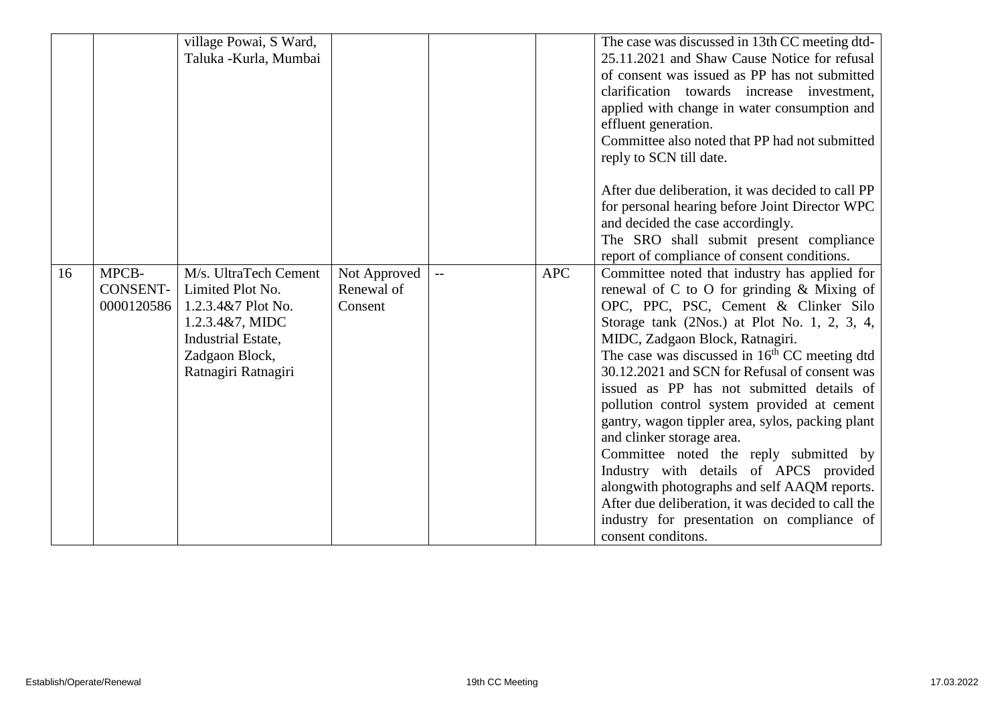|    |                                 | village Powai, S Ward,<br>Taluka - Kurla, Mumbai                                                                                                  |                                       |            | The case was discussed in 13th CC meeting dtd-<br>25.11.2021 and Shaw Cause Notice for refusal<br>of consent was issued as PP has not submitted<br>clarification towards increase investment,<br>applied with change in water consumption and<br>effluent generation.<br>Committee also noted that PP had not submitted<br>reply to SCN till date.                                                                                                                                                                                                                                                                                                                                                                                                                                |
|----|---------------------------------|---------------------------------------------------------------------------------------------------------------------------------------------------|---------------------------------------|------------|-----------------------------------------------------------------------------------------------------------------------------------------------------------------------------------------------------------------------------------------------------------------------------------------------------------------------------------------------------------------------------------------------------------------------------------------------------------------------------------------------------------------------------------------------------------------------------------------------------------------------------------------------------------------------------------------------------------------------------------------------------------------------------------|
|    |                                 |                                                                                                                                                   |                                       |            | After due deliberation, it was decided to call PP<br>for personal hearing before Joint Director WPC<br>and decided the case accordingly.<br>The SRO shall submit present compliance<br>report of compliance of consent conditions.                                                                                                                                                                                                                                                                                                                                                                                                                                                                                                                                                |
| 16 | MPCB-<br>CONSENT-<br>0000120586 | M/s. UltraTech Cement<br>Limited Plot No.<br>1.2.3.4&7 Plot No.<br>1.2.3.4&7, MIDC<br>Industrial Estate,<br>Zadgaon Block,<br>Ratnagiri Ratnagiri | Not Approved<br>Renewal of<br>Consent | <b>APC</b> | Committee noted that industry has applied for<br>renewal of C to O for grinding & Mixing of<br>OPC, PPC, PSC, Cement & Clinker Silo<br>Storage tank $(2Nos.)$ at Plot No. 1, 2, 3, 4,<br>MIDC, Zadgaon Block, Ratnagiri.<br>The case was discussed in 16 <sup>th</sup> CC meeting dtd<br>30.12.2021 and SCN for Refusal of consent was<br>issued as PP has not submitted details of<br>pollution control system provided at cement<br>gantry, wagon tippler area, sylos, packing plant<br>and clinker storage area.<br>Committee noted the reply submitted by<br>Industry with details of APCS provided<br>alongwith photographs and self AAQM reports.<br>After due deliberation, it was decided to call the<br>industry for presentation on compliance of<br>consent conditons. |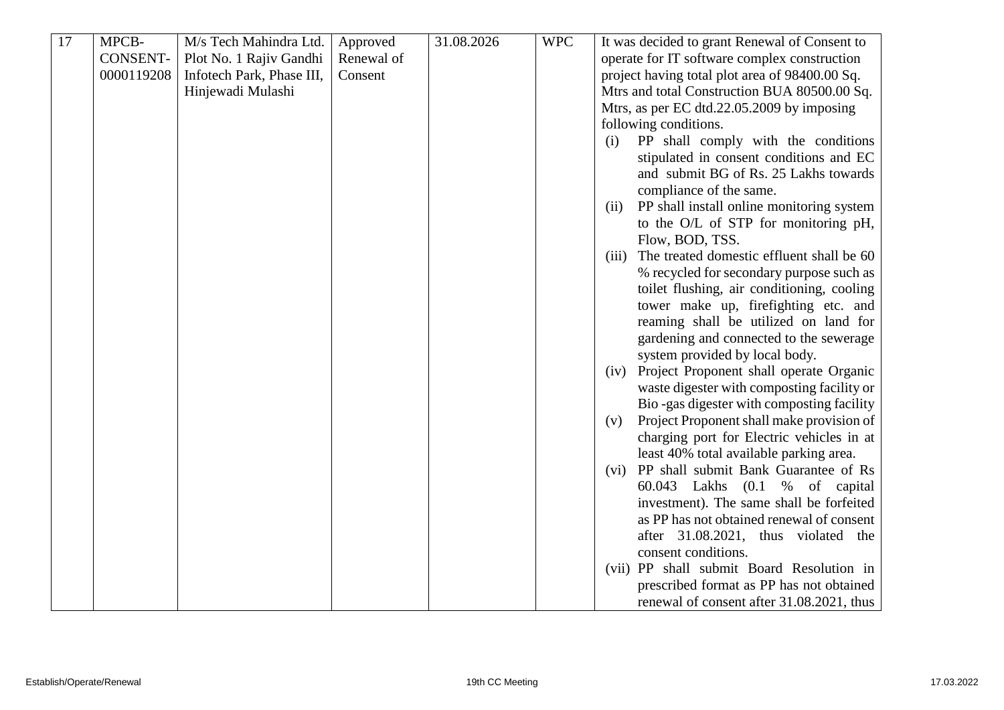| 17 | MPCB-           | M/s Tech Mahindra Ltd.    | Approved   | 31.08.2026 | <b>WPC</b> | It was decided to grant Renewal of Consent to      |
|----|-----------------|---------------------------|------------|------------|------------|----------------------------------------------------|
|    | <b>CONSENT-</b> | Plot No. 1 Rajiv Gandhi   | Renewal of |            |            | operate for IT software complex construction       |
|    | 0000119208      | Infotech Park, Phase III, | Consent    |            |            | project having total plot area of 98400.00 Sq.     |
|    |                 | Hinjewadi Mulashi         |            |            |            | Mtrs and total Construction BUA 80500.00 Sq.       |
|    |                 |                           |            |            |            | Mtrs, as per EC dtd.22.05.2009 by imposing         |
|    |                 |                           |            |            |            | following conditions.                              |
|    |                 |                           |            |            |            | PP shall comply with the conditions<br>(i)         |
|    |                 |                           |            |            |            | stipulated in consent conditions and EC            |
|    |                 |                           |            |            |            | and submit BG of Rs. 25 Lakhs towards              |
|    |                 |                           |            |            |            | compliance of the same.                            |
|    |                 |                           |            |            |            | PP shall install online monitoring system<br>(ii)  |
|    |                 |                           |            |            |            | to the O/L of STP for monitoring pH,               |
|    |                 |                           |            |            |            | Flow, BOD, TSS.                                    |
|    |                 |                           |            |            |            | The treated domestic effluent shall be 60<br>(iii) |
|    |                 |                           |            |            |            |                                                    |
|    |                 |                           |            |            |            | % recycled for secondary purpose such as           |
|    |                 |                           |            |            |            | toilet flushing, air conditioning, cooling         |
|    |                 |                           |            |            |            | tower make up, firefighting etc. and               |
|    |                 |                           |            |            |            | reaming shall be utilized on land for              |
|    |                 |                           |            |            |            | gardening and connected to the sewerage            |
|    |                 |                           |            |            |            | system provided by local body.                     |
|    |                 |                           |            |            |            | Project Proponent shall operate Organic<br>(iv)    |
|    |                 |                           |            |            |            | waste digester with composting facility or         |
|    |                 |                           |            |            |            | Bio-gas digester with composting facility          |
|    |                 |                           |            |            |            | Project Proponent shall make provision of<br>(v)   |
|    |                 |                           |            |            |            | charging port for Electric vehicles in at          |
|    |                 |                           |            |            |            | least 40% total available parking area.            |
|    |                 |                           |            |            |            | (vi) PP shall submit Bank Guarantee of Rs          |
|    |                 |                           |            |            |            | 60.043 Lakhs (0.1 % of capital                     |
|    |                 |                           |            |            |            | investment). The same shall be forfeited           |
|    |                 |                           |            |            |            | as PP has not obtained renewal of consent          |
|    |                 |                           |            |            |            | after 31.08.2021, thus violated the                |
|    |                 |                           |            |            |            | consent conditions.                                |
|    |                 |                           |            |            |            | (vii) PP shall submit Board Resolution in          |
|    |                 |                           |            |            |            | prescribed format as PP has not obtained           |
|    |                 |                           |            |            |            | renewal of consent after 31.08.2021, thus          |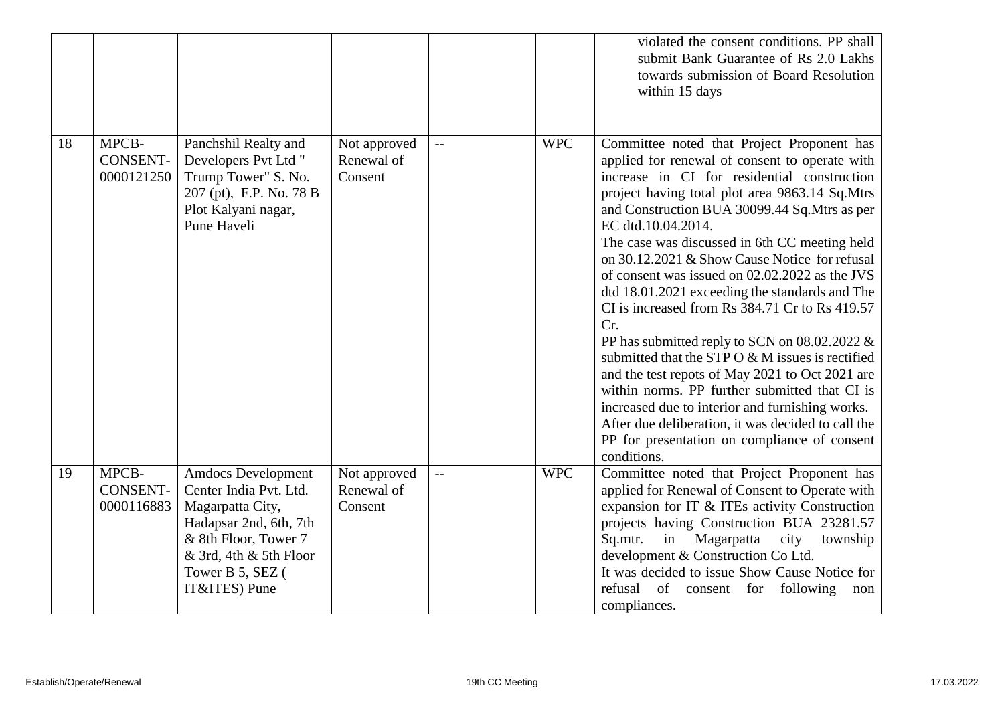|    |                                        |                                                                                                                                                                                          |                                       |                          |            | violated the consent conditions. PP shall<br>submit Bank Guarantee of Rs 2.0 Lakhs<br>towards submission of Board Resolution<br>within 15 days                                                                                                                                                                                                                                                                                                                                                                                                                                                                                                                                                                                                                                                                                                                                                                         |
|----|----------------------------------------|------------------------------------------------------------------------------------------------------------------------------------------------------------------------------------------|---------------------------------------|--------------------------|------------|------------------------------------------------------------------------------------------------------------------------------------------------------------------------------------------------------------------------------------------------------------------------------------------------------------------------------------------------------------------------------------------------------------------------------------------------------------------------------------------------------------------------------------------------------------------------------------------------------------------------------------------------------------------------------------------------------------------------------------------------------------------------------------------------------------------------------------------------------------------------------------------------------------------------|
| 18 | MPCB-<br><b>CONSENT-</b><br>0000121250 | Panchshil Realty and<br>Developers Pvt Ltd "<br>Trump Tower" S. No.<br>207 (pt), F.P. No. 78 B<br>Plot Kalyani nagar,<br>Pune Haveli                                                     | Not approved<br>Renewal of<br>Consent | $\overline{\phantom{a}}$ | <b>WPC</b> | Committee noted that Project Proponent has<br>applied for renewal of consent to operate with<br>increase in CI for residential construction<br>project having total plot area 9863.14 Sq.Mtrs<br>and Construction BUA 30099.44 Sq.Mtrs as per<br>EC dtd.10.04.2014.<br>The case was discussed in 6th CC meeting held<br>on 30.12.2021 & Show Cause Notice for refusal<br>of consent was issued on 02.02.2022 as the JVS<br>dtd 18.01.2021 exceeding the standards and The<br>CI is increased from Rs 384.71 Cr to Rs 419.57<br>Cr.<br>PP has submitted reply to SCN on $08.02.2022 \&$<br>submitted that the STP O & M issues is rectified<br>and the test repots of May 2021 to Oct 2021 are<br>within norms. PP further submitted that CI is<br>increased due to interior and furnishing works.<br>After due deliberation, it was decided to call the<br>PP for presentation on compliance of consent<br>conditions. |
| 19 | MPCB-<br><b>CONSENT-</b><br>0000116883 | <b>Amdocs Development</b><br>Center India Pvt. Ltd.<br>Magarpatta City,<br>Hadapsar 2nd, 6th, 7th<br>& 8th Floor, Tower 7<br>& 3rd, 4th & 5th Floor<br>Tower B 5, SEZ (<br>IT&ITES) Pune | Not approved<br>Renewal of<br>Consent |                          | <b>WPC</b> | Committee noted that Project Proponent has<br>applied for Renewal of Consent to Operate with<br>expansion for IT & ITEs activity Construction<br>projects having Construction BUA 23281.57<br>Sq.mtr.<br>Magarpatta<br>city<br>in<br>township<br>development & Construction Co Ltd.<br>It was decided to issue Show Cause Notice for<br>refusal<br>of consent for following<br>non<br>compliances.                                                                                                                                                                                                                                                                                                                                                                                                                                                                                                                     |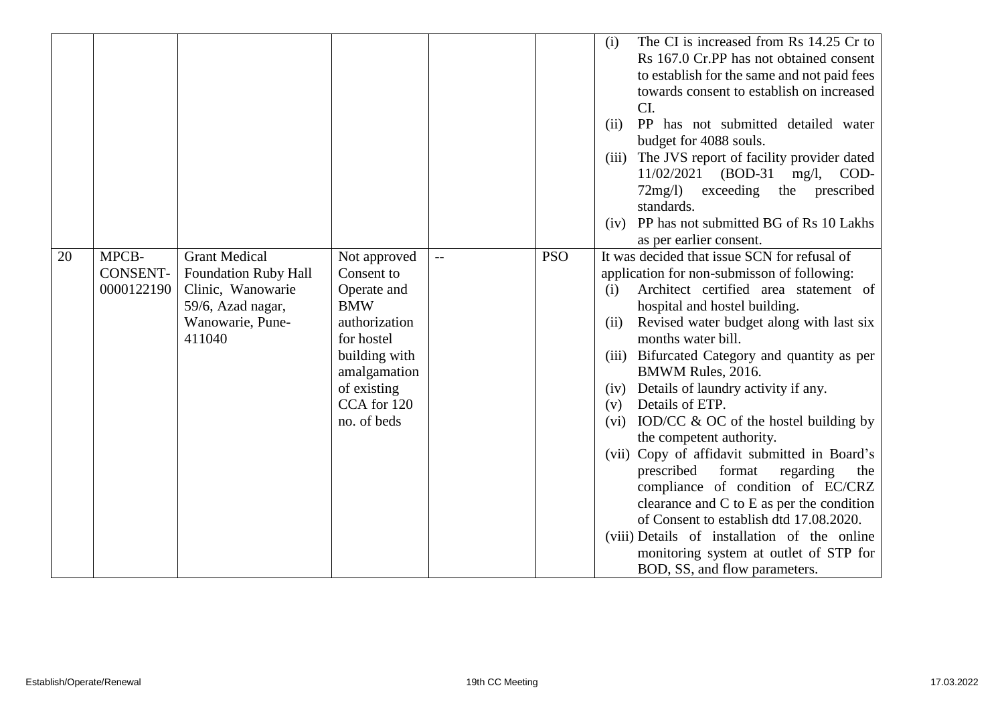|    |                 |                      |               |            | The CI is increased from Rs 14.25 Cr to<br>(i)<br>Rs 167.0 Cr.PP has not obtained consent |
|----|-----------------|----------------------|---------------|------------|-------------------------------------------------------------------------------------------|
|    |                 |                      |               |            | to establish for the same and not paid fees                                               |
|    |                 |                      |               |            | towards consent to establish on increased                                                 |
|    |                 |                      |               |            | CI.                                                                                       |
|    |                 |                      |               |            | PP has not submitted detailed water<br>(ii)                                               |
|    |                 |                      |               |            | budget for 4088 souls.                                                                    |
|    |                 |                      |               |            | The JVS report of facility provider dated<br>(iii)                                        |
|    |                 |                      |               |            | $11/02/2021$ (BOD-31 mg/l,<br>COD-                                                        |
|    |                 |                      |               |            | exceeding the prescribed<br>$72mg/l$ )                                                    |
|    |                 |                      |               |            | standards.                                                                                |
|    |                 |                      |               |            | PP has not submitted BG of Rs 10 Lakhs<br>(iv)                                            |
|    |                 |                      |               |            | as per earlier consent.                                                                   |
| 20 | MPCB-           | <b>Grant Medical</b> | Not approved  | <b>PSO</b> | It was decided that issue SCN for refusal of                                              |
|    | <b>CONSENT-</b> | Foundation Ruby Hall | Consent to    |            | application for non-submisson of following:                                               |
|    | 0000122190      | Clinic, Wanowarie    | Operate and   |            | Architect certified area statement of<br>(i)                                              |
|    |                 | 59/6, Azad nagar,    | <b>BMW</b>    |            | hospital and hostel building.                                                             |
|    |                 | Wanowarie, Pune-     | authorization |            | Revised water budget along with last six<br>(ii)                                          |
|    |                 | 411040               | for hostel    |            | months water bill.                                                                        |
|    |                 |                      | building with |            | Bifurcated Category and quantity as per<br>(iii)                                          |
|    |                 |                      | amalgamation  |            | BMWM Rules, 2016.                                                                         |
|    |                 |                      | of existing   |            | Details of laundry activity if any.<br>(iv)                                               |
|    |                 |                      | CCA for 120   |            | Details of ETP.<br>(v)                                                                    |
|    |                 |                      | no. of beds   |            | IOD/CC $\&$ OC of the hostel building by<br>(vi)                                          |
|    |                 |                      |               |            | the competent authority.                                                                  |
|    |                 |                      |               |            | (vii) Copy of affidavit submitted in Board's                                              |
|    |                 |                      |               |            | format<br>prescribed<br>regarding<br>the                                                  |
|    |                 |                      |               |            | compliance of condition of EC/CRZ                                                         |
|    |                 |                      |               |            | clearance and $C$ to $E$ as per the condition                                             |
|    |                 |                      |               |            | of Consent to establish dtd 17.08.2020.                                                   |
|    |                 |                      |               |            | (viii) Details of installation of the online                                              |
|    |                 |                      |               |            | monitoring system at outlet of STP for                                                    |
|    |                 |                      |               |            | BOD, SS, and flow parameters.                                                             |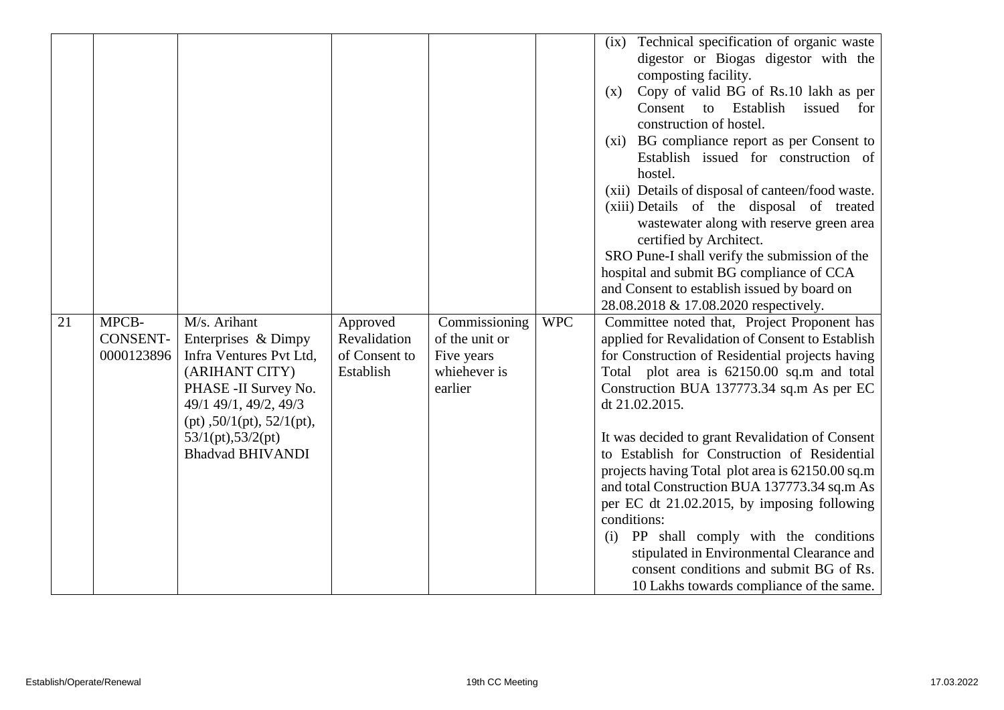|    |                                        |                                                                                                                                                                                                                             |                                                        |                                                                          |            | Technical specification of organic waste<br>(ix)<br>digestor or Biogas digestor with the<br>composting facility.<br>Copy of valid BG of Rs.10 lakh as per<br>(x)<br>Consent<br>Establish<br>$\mathbf{t}$<br>issued<br>for<br>construction of hostel.<br>(xi) BG compliance report as per Consent to<br>Establish issued for construction of<br>hostel.<br>(xii) Details of disposal of canteen/food waste.<br>(xiii) Details of the disposal of treated<br>wastewater along with reserve green area<br>certified by Architect.<br>SRO Pune-I shall verify the submission of the<br>hospital and submit BG compliance of CCA<br>and Consent to establish issued by board on                                                                                      |
|----|----------------------------------------|-----------------------------------------------------------------------------------------------------------------------------------------------------------------------------------------------------------------------------|--------------------------------------------------------|--------------------------------------------------------------------------|------------|-----------------------------------------------------------------------------------------------------------------------------------------------------------------------------------------------------------------------------------------------------------------------------------------------------------------------------------------------------------------------------------------------------------------------------------------------------------------------------------------------------------------------------------------------------------------------------------------------------------------------------------------------------------------------------------------------------------------------------------------------------------------|
| 21 | MPCB-<br><b>CONSENT-</b><br>0000123896 | M/s. Arihant<br>Enterprises & Dimpy<br>Infra Ventures Pvt Ltd,<br>(ARIHANT CITY)<br>PHASE - II Survey No.<br>49/1 49/1, 49/2, 49/3<br>$(pt)$ , 50/1 $(pt)$ , 52/1 $(pt)$ ,<br>53/1(pt), 53/2(pt)<br><b>Bhadvad BHIVANDI</b> | Approved<br>Revalidation<br>of Consent to<br>Establish | Commissioning<br>of the unit or<br>Five years<br>whiehever is<br>earlier | <b>WPC</b> | 28.08.2018 & 17.08.2020 respectively.<br>Committee noted that, Project Proponent has<br>applied for Revalidation of Consent to Establish<br>for Construction of Residential projects having<br>Total plot area is 62150.00 sq.m and total<br>Construction BUA 137773.34 sq.m As per EC<br>dt 21.02.2015.<br>It was decided to grant Revalidation of Consent<br>to Establish for Construction of Residential<br>projects having Total plot area is 62150.00 sq.m<br>and total Construction BUA 137773.34 sq.m As<br>per EC dt 21.02.2015, by imposing following<br>conditions:<br>PP shall comply with the conditions<br>(i)<br>stipulated in Environmental Clearance and<br>consent conditions and submit BG of Rs.<br>10 Lakhs towards compliance of the same. |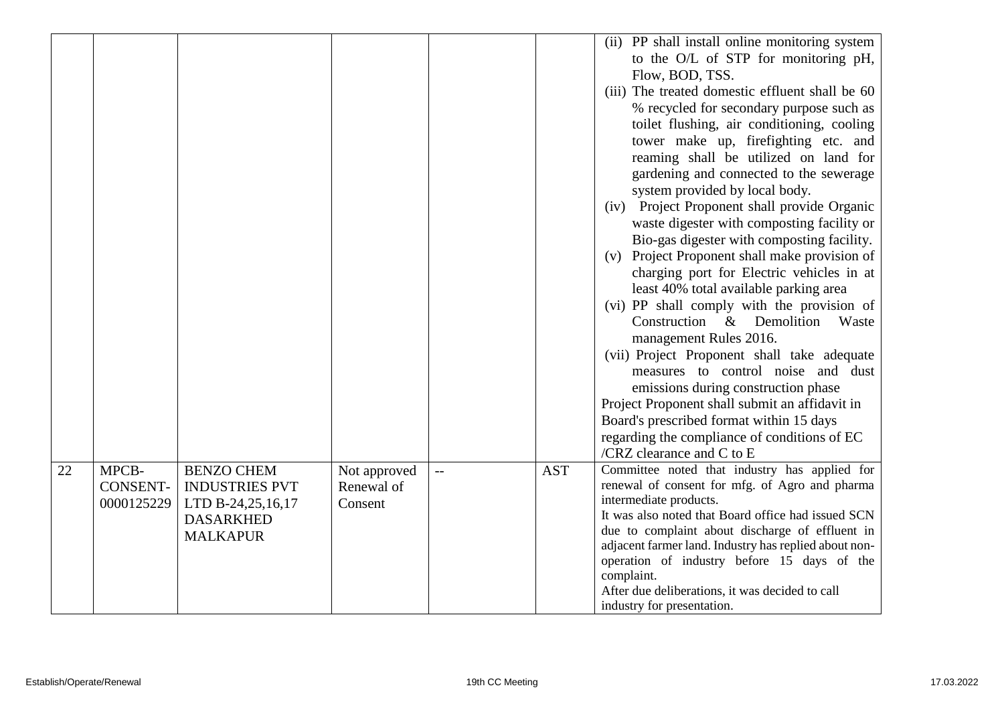|    |                                        |                                                                                                        |                                       |                          |            | (ii) PP shall install online monitoring system<br>to the O/L of STP for monitoring pH,<br>Flow, BOD, TSS.<br>(iii) The treated domestic effluent shall be 60<br>% recycled for secondary purpose such as<br>toilet flushing, air conditioning, cooling<br>tower make up, firefighting etc. and<br>reaming shall be utilized on land for<br>gardening and connected to the sewerage<br>system provided by local body.<br>Project Proponent shall provide Organic<br>(iv)<br>waste digester with composting facility or<br>Bio-gas digester with composting facility.<br>Project Proponent shall make provision of<br>(v)<br>charging port for Electric vehicles in at<br>least 40% total available parking area<br>(vi) PP shall comply with the provision of<br>Construction & Demolition<br>Waste<br>management Rules 2016.<br>(vii) Project Proponent shall take adequate<br>measures to control noise and dust<br>emissions during construction phase<br>Project Proponent shall submit an affidavit in<br>Board's prescribed format within 15 days<br>regarding the compliance of conditions of EC<br>/CRZ clearance and $C$ to $E$ |
|----|----------------------------------------|--------------------------------------------------------------------------------------------------------|---------------------------------------|--------------------------|------------|-----------------------------------------------------------------------------------------------------------------------------------------------------------------------------------------------------------------------------------------------------------------------------------------------------------------------------------------------------------------------------------------------------------------------------------------------------------------------------------------------------------------------------------------------------------------------------------------------------------------------------------------------------------------------------------------------------------------------------------------------------------------------------------------------------------------------------------------------------------------------------------------------------------------------------------------------------------------------------------------------------------------------------------------------------------------------------------------------------------------------------------------|
| 22 | MPCB-<br><b>CONSENT-</b><br>0000125229 | <b>BENZO CHEM</b><br><b>INDUSTRIES PVT</b><br>LTD B-24,25,16,17<br><b>DASARKHED</b><br><b>MALKAPUR</b> | Not approved<br>Renewal of<br>Consent | $\overline{\phantom{m}}$ | <b>AST</b> | Committee noted that industry has applied for<br>renewal of consent for mfg. of Agro and pharma<br>intermediate products.<br>It was also noted that Board office had issued SCN<br>due to complaint about discharge of effluent in<br>adjacent farmer land. Industry has replied about non-<br>operation of industry before 15 days of the<br>complaint.<br>After due deliberations, it was decided to call<br>industry for presentation.                                                                                                                                                                                                                                                                                                                                                                                                                                                                                                                                                                                                                                                                                               |